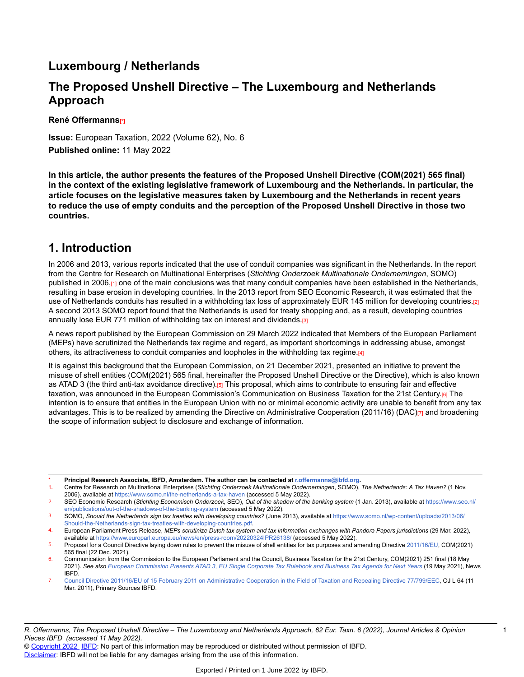## **Luxembourg / Netherlands**

## **The Proposed Unshell Directive – The Luxembourg and Netherlands Approach**

**René Offermanns[\*]**

**Issue:** European Taxation, 2022 (Volume 62), No. 6 **Published online:** 11 May 2022

**In this article, the author presents the features of the Proposed Unshell Directive (COM(2021) 565 final) in the context of the existing legislative framework of Luxembourg and the Netherlands. In particular, the article focuses on the legislative measures taken by Luxembourg and the Netherlands in recent years to reduce the use of empty conduits and the perception of the Proposed Unshell Directive in those two countries.**

## **1. Introduction**

In 2006 and 2013, various reports indicated that the use of conduit companies was significant in the Netherlands. In the report from the Centre for Research on Multinational Enterprises (*Stichting Onderzoek Multinationale Ondernemingen*, SOMO) published in 2006,<sub>[1]</sub> one of the main conclusions was that many conduit companies have been established in the Netherlands, resulting in base erosion in developing countries. In the 2013 report from SEO Economic Research, it was estimated that the use of Netherlands conduits has resulted in a withholding tax loss of approximately EUR 145 million for developing countries.[2] A second 2013 SOMO report found that the Netherlands is used for treaty shopping and, as a result, developing countries annually lose EUR 771 million of withholding tax on interest and dividends.[3]

A news report published by the European Commission on 29 March 2022 indicated that Members of the European Parliament (MEPs) have scrutinized the Netherlands tax regime and regard, as important shortcomings in addressing abuse, amongst others, its attractiveness to conduit companies and loopholes in the withholding tax regime.[4]

It is against this background that the European Commission, on 21 December 2021, presented an initiative to prevent the misuse of shell entities (COM(2021) 565 final, hereinafter the Proposed Unshell Directive or the Directive), which is also known as ATAD 3 (the third anti-tax avoidance directive).[5] This proposal, which aims to contribute to ensuring fair and effective taxation, was announced in the European Commission's Communication on Business Taxation for the 21st Century.[6] The intention is to ensure that entities in the European Union with no or minimal economic activity are unable to benefit from any tax advantages. This is to be realized by amending the Directive on Administrative Cooperation (2011/16) (DAC) $_{[7]}$  and broadening the scope of information subject to disclosure and exchange of information.

\* **Principal Research Associate, IBFD, Amsterdam. The author can be contacted at r.offermanns@ibfd.org.**

<sup>1.</sup> Centre for Research on Multinational Enterprises (*Stichting Onderzoek Multinationale Ondernemingen*, SOMO), *The Netherlands: A Tax Haven?* (1 Nov. 2006), available at [https://www.somo.nl/the-netherlands-a-tax-haven](https://www.somo.nl/the) (accessed 5 May 2022).

<sup>2.</sup> SEO Economic Research (*Stichting Economisch Onderzoek*, SEO), *Out of the shadow of the banking system* (1 Jan. 2013), available at [https://www.seo.nl/](https://www.seo.nl/en/publications/out-of-the-shadows-of-the-banking-system) [en/publications/out-of-the-shadows-of-the-banking-system](https://www.seo.nl/en/publications/out-of-the-shadows-of-the-banking-system) (accessed 5 May 2022).

<sup>3.</sup> SOMO, *Should the Netherlands sign tax treaties with developing countries?* (June 2013), available at [https://www.somo.nl/wp-content/uploads/2013/06/](https://www.somo.nl/wp-) [Should-the-Netherlands-sign-tax-treaties-with-developing-countries.pdf](https://www.somo.nl/wp-).

<sup>4.</sup> European Parliament Press Release, *MEPs scrutinize Dutch tax system and tax information exchanges with Pandora Papers jurisdictions* (29 Mar. 2022), available at<https://www.europarl.europa.eu/news/en/press-room/20220324IPR26138/>(accessed 5 May 2022).

<sup>5.</sup> Proposal for a Council Directive laying down rules to prevent the misuse of shell entities for tax purposes and amending Directive [2011/16/EU](https://research.ibfd.org/#/doc?url=/linkresolver/static/tt_e2_41_eng_2011_tt%23tt_e2_41_eng_2011_tt), COM(2021) 565 final (22 Dec. 2021).

<sup>6.</sup> Communication from the Commission to the European Parliament and the Council, Business Taxation for the 21st Century, COM(2021) 251 final (18 May 2021). See also European [Commission](https://research.ibfd.org/#/doc?url=/linkresolver/static/tns_2021-05-19_e2_1%23tns_2021-05-19_e2_1) Presents ATAD 3, EU Single Corporate Tax Rulebook and Business Tax Agenda for Next Years (19 May 2021), News IBFD.

<sup>7.</sup> Council Directive 2011/16/EU of 15 February 2011 on [Administrative](https://research.ibfd.org/#/doc?url=/linkresolver/static/tt_e2_41_eng_2011_tt%23tt_e2_41_eng_2011_tt) Cooperation in the Field of Taxation and Repealing Directive 77/799/EEC, OJ L 64 (11 Mar. 2011), Primary Sources IBFD.

<sup>©</sup> [Copyright 2022](http://www.ibfd.org/Copyright-IBFD) [IBFD](http://www.ibfd.org): No part of this information may be reproduced or distributed without permission of IBFD. [Disclaimer:](http://www.ibfd.org/Disclaimer) IBFD will not be liable for any damages arising from the use of this information.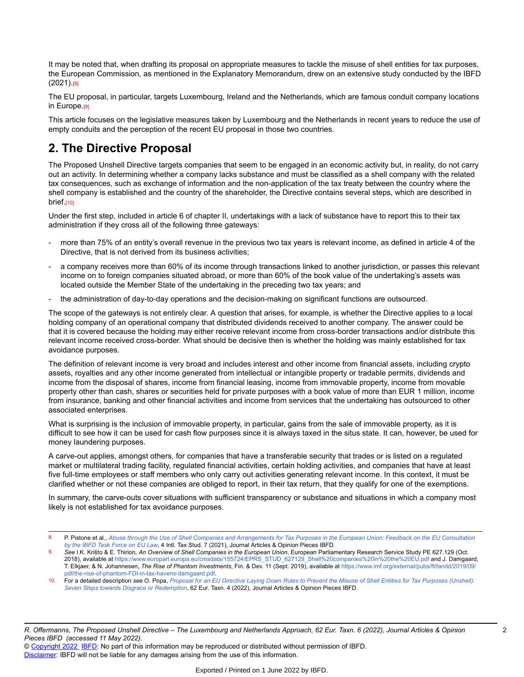It may be noted that, when drafting its proposal on appropriate measures to tackle the misuse of shell entities for tax purposes, the European Commission, as mentioned in the Explanatory Memorandum, drew on an extensive study conducted by the IBFD (2021).[8]

The EU proposal, in particular, targets Luxembourg, Ireland and the Netherlands, which are famous conduit company locations in Europe.<sub>[9]</sub>

This article focuses on the legislative measures taken by Luxembourg and the Netherlands in recent years to reduce the use of empty conduits and the perception of the recent EU proposal in those two countries.

# **2. The Directive Proposal**

The Proposed Unshell Directive targets companies that seem to be engaged in an economic activity but, in reality, do not carry out an activity. In determining whether a company lacks substance and must be classified as a shell company with the related tax consequences, such as exchange of information and the non-application of the tax treaty between the country where the shell company is established and the country of the shareholder, the Directive contains several steps, which are described in brief.<sub>[10]</sub>

Under the first step, included in article 6 of chapter II, undertakings with a lack of substance have to report this to their tax administration if they cross all of the following three gateways:

- more than 75% of an entity's overall revenue in the previous two tax years is relevant income, as defined in article 4 of the Directive, that is not derived from its business activities;
- a company receives more than 60% of its income through transactions linked to another jurisdiction, or passes this relevant income on to foreign companies situated abroad, or more than 60% of the book value of the undertaking's assets was located outside the Member State of the undertaking in the preceding two tax years; and
- the administration of day-to-day operations and the decision-making on significant functions are outsourced.

The scope of the gateways is not entirely clear. A question that arises, for example, is whether the Directive applies to a local holding company of an operational company that distributed dividends received to another company. The answer could be that it is covered because the holding may either receive relevant income from cross-border transactions and/or distribute this relevant income received cross-border. What should be decisive then is whether the holding was mainly established for tax avoidance purposes.

The definition of relevant income is very broad and includes interest and other income from financial assets, including crypto assets, royalties and any other income generated from intellectual or intangible property or tradable permits, dividends and income from the disposal of shares, income from financial leasing, income from immovable property, income from movable property other than cash, shares or securities held for private purposes with a book value of more than EUR 1 million, income from insurance, banking and other financial activities and income from services that the undertaking has outsourced to other associated enterprises.

What is surprising is the inclusion of immovable property, in particular, gains from the sale of immovable property, as it is difficult to see how it can be used for cash flow purposes since it is always taxed in the situs state. It can, however, be used for money laundering purposes.

A carve-out applies, amongst others, for companies that have a transferable security that trades or is listed on a regulated market or multilateral trading facility, regulated financial activities, certain holding activities, and companies that have at least five full-time employees or staff members who only carry out activities generating relevant income. In this context, it must be clarified whether or not these companies are obliged to report, in their tax return, that they qualify for one of the exemptions.

In summary, the carve-outs cover situations with sufficient transparency or substance and situations in which a company most likely is not established for tax avoidance purposes.

P. Pistone et al., Abuse through the Use of Shell Companies and [Arrangements](https://research.ibfd.org/#/doc?url=/linkresolver/static/itaxs_2021_07_int_1%23itaxs_2021_07_int_1) for Tax Purposes in the European Union: Feedback on the EU Consultation *by the IBFD Task [Force](https://research.ibfd.org/#/doc?url=/linkresolver/static/itaxs_2021_07_int_1%23itaxs_2021_07_int_1) on EU Law*, 4 Intl. Tax Stud. 7 (2021), Journal Articles & Opinion Pieces IBFD.

<sup>9.</sup> *See* I.K. Krišto & E. Thirion, *An Overview of Shell Companies in the European Union*, European Parliamentary Research Service Study PE 627.129 (Oct. 2018), available at [https://www.europarl.europa.eu/cmsdata/155724/EPRS\\_STUD\\_627129\\_Shell%20companies%20in%20the%20EU.pdf](https://www.europarl.europa.eu/cmsdata/155724/EPRS_STUD_627129_Shell%20companies%20in%20the%20EU.pdf) and J. Damgaard, T. Elkjaer, & N. Johannesen, *The Rise of Phantom Investments*, Fin. & Dev. 11 (Sept. 2019), available at [https://www.imf.org/external/pubs/ft/fandd/2019/09/](https://www.imf.org/external/pubs/ft/fandd/2019/09/pdf/the-rise-of-phantom-FDI-in-tax-havens-damgaard.pdf) [pdf/the-rise-of-phantom-FDI-in-tax-havens-damgaard.pdf](https://www.imf.org/external/pubs/ft/fandd/2019/09/pdf/the-rise-of-phantom-FDI-in-tax-havens-damgaard.pdf).

<sup>10.</sup> For a detailed description see O. Popa, Proposal for an EU Directive Laying Down Rules to Prevent the Misuse of Shell Entities for Tax Purposes [\(Unshell\):](https://research.ibfd.org/#/doc?url=/linkresolver/static/et_2022_04_e2_1%23et_2022_04_e2_1) *[Seven Steps towards Disgrace or Redemption](https://research.ibfd.org/#/doc?url=/linkresolver/static/et_2022_04_e2_1%23et_2022_04_e2_1)*, 62 Eur. Taxn. 4 (2022), Journal Articles & Opinion Pieces IBFD.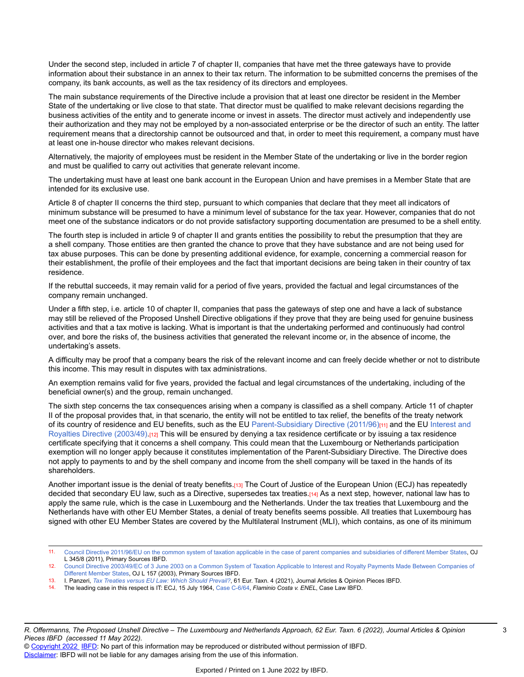Under the second step, included in article 7 of chapter II, companies that have met the three gateways have to provide information about their substance in an annex to their tax return. The information to be submitted concerns the premises of the company, its bank accounts, as well as the tax residency of its directors and employees.

The main substance requirements of the Directive include a provision that at least one director be resident in the Member State of the undertaking or live close to that state. That director must be qualified to make relevant decisions regarding the business activities of the entity and to generate income or invest in assets. The director must actively and independently use their authorization and they may not be employed by a non-associated enterprise or be the director of such an entity. The latter requirement means that a directorship cannot be outsourced and that, in order to meet this requirement, a company must have at least one in-house director who makes relevant decisions.

Alternatively, the majority of employees must be resident in the Member State of the undertaking or live in the border region and must be qualified to carry out activities that generate relevant income.

The undertaking must have at least one bank account in the European Union and have premises in a Member State that are intended for its exclusive use.

Article 8 of chapter II concerns the third step, pursuant to which companies that declare that they meet all indicators of minimum substance will be presumed to have a minimum level of substance for the tax year. However, companies that do not meet one of the substance indicators or do not provide satisfactory supporting documentation are presumed to be a shell entity.

The fourth step is included in article 9 of chapter II and grants entities the possibility to rebut the presumption that they are a shell company. Those entities are then granted the chance to prove that they have substance and are not being used for tax abuse purposes. This can be done by presenting additional evidence, for example, concerning a commercial reason for their establishment, the profile of their employees and the fact that important decisions are being taken in their country of tax residence.

If the rebuttal succeeds, it may remain valid for a period of five years, provided the factual and legal circumstances of the company remain unchanged.

Under a fifth step, i.e. article 10 of chapter II, companies that pass the gateways of step one and have a lack of substance may still be relieved of the Proposed Unshell Directive obligations if they prove that they are being used for genuine business activities and that a tax motive is lacking. What is important is that the undertaking performed and continuously had control over, and bore the risks of, the business activities that generated the relevant income or, in the absence of income, the undertaking's assets.

A difficulty may be proof that a company bears the risk of the relevant income and can freely decide whether or not to distribute this income. This may result in disputes with tax administrations.

An exemption remains valid for five years, provided the factual and legal circumstances of the undertaking, including of the beneficial owner(s) and the group, remain unchanged.

The sixth step concerns the tax consequences arising when a company is classified as a shell company. Article 11 of chapter II of the proposal provides that, in that scenario, the entity will not be entitled to tax relief, the benefits of the treaty network of its country of residence and EU benefits, such as the EU [Parent-Subsidiary](https://research.ibfd.org/#/doc?url=/linkresolver/static/tt_e2_79_eng_2011_tt%23tt_e2_79_eng_2011_tt) Directive (2011/96)<sub>[11]</sub> and the EU [Interest and](https://research.ibfd.org/#/doc?url=/linkresolver/static/tt_e2_82_eng_2003_tt%23tt_e2_82_eng_2003_tt) [Royalties Directive \(2003/49\)](https://research.ibfd.org/#/doc?url=/linkresolver/static/tt_e2_82_eng_2003_tt%23tt_e2_82_eng_2003_tt).[12] This will be ensured by denying a tax residence certificate or by issuing a tax residence certificate specifying that it concerns a shell company. This could mean that the Luxembourg or Netherlands participation exemption will no longer apply because it constitutes implementation of the Parent-Subsidiary Directive. The Directive does not apply to payments to and by the shell company and income from the shell company will be taxed in the hands of its shareholders.

Another important issue is the denial of treaty benefits.[13] The Court of Justice of the European Union (ECJ) has repeatedly decided that secondary EU law, such as a Directive, supersedes tax treaties.[14] As a next step, however, national law has to apply the same rule, which is the case in Luxembourg and the Netherlands. Under the tax treaties that Luxembourg and the Netherlands have with other EU Member States, a denial of treaty benefits seems possible. All treaties that Luxembourg has signed with other EU Member States are covered by the Multilateral Instrument (MLI), which contains, as one of its minimum

- 13. I. Panzeri, *Tax Treaties versus EU Law: Which Should [Prevail?](https://research.ibfd.org/#/doc?url=/linkresolver/static/et_2021_04_e2_6%23et_2021_04_e2_6)*, 61 Eur. Taxn. 4 (2021), Journal Articles & Opinion Pieces IBFD.
- 14. The leading case in this respect is IT: ECJ, 15 July 1964, [Case C-6/64,](https://research.ibfd.org/#/doc?url=/linkresolver/static/ecjd_6_64%23ecjd_6_64) *Flaminio Costa v. ENEL*, Case Law IBFD.

<sup>11.</sup> Council Directive 2011/96/EU on the common system of taxation applicable in the case of parent companies and [subsidiaries](https://research.ibfd.org/#/doc?url=/linkresolver/static/tt_e2_79_eng_2011_tt%23tt_e2_79_eng_2011_tt) of different Member States, OJ L 345/8 (2011), Primary Sources IBFD.

<sup>12.</sup> Council Directive [2003/49/EC](https://research.ibfd.org/#/doc?url=/linkresolver/static/tt_e2_82_eng_2003_tt%23tt_e2_82_eng_2003_tt) of 3 June 2003 on a Common System of Taxation Applicable to Interest and Royalty Payments Made Between Companies of [Different](https://research.ibfd.org/#/doc?url=/linkresolver/static/tt_e2_82_eng_2003_tt%23tt_e2_82_eng_2003_tt) Member States, OJ L 157 (2003), Primary Sources IBFD.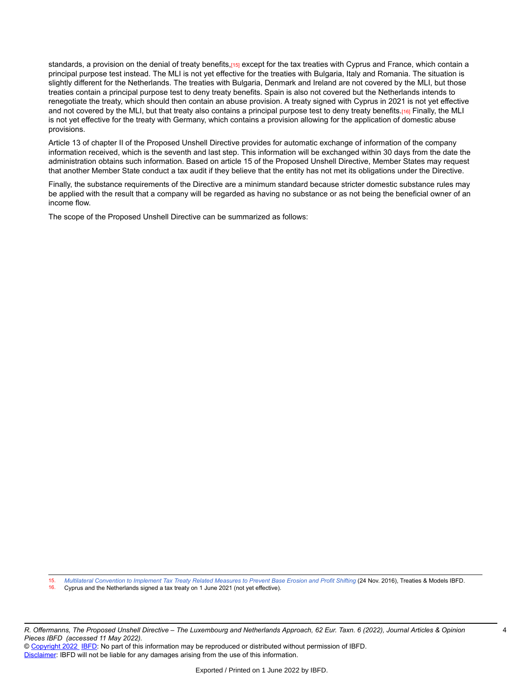standards, a provision on the denial of treaty benefits,[15] except for the tax treaties with Cyprus and France, which contain a principal purpose test instead. The MLI is not yet effective for the treaties with Bulgaria, Italy and Romania. The situation is slightly different for the Netherlands. The treaties with Bulgaria, Denmark and Ireland are not covered by the MLI, but those treaties contain a principal purpose test to deny treaty benefits. Spain is also not covered but the Netherlands intends to renegotiate the treaty, which should then contain an abuse provision. A treaty signed with Cyprus in 2021 is not yet effective and not covered by the MLI, but that treaty also contains a principal purpose test to deny treaty benefits.[16] Finally, the MLI is not yet effective for the treaty with Germany, which contains a provision allowing for the application of domestic abuse provisions.

Article 13 of chapter II of the Proposed Unshell Directive provides for automatic exchange of information of the company information received, which is the seventh and last step. This information will be exchanged within 30 days from the date the administration obtains such information. Based on article 15 of the Proposed Unshell Directive, Member States may request that another Member State conduct a tax audit if they believe that the entity has not met its obligations under the Directive.

Finally, the substance requirements of the Directive are a minimum standard because stricter domestic substance rules may be applied with the result that a company will be regarded as having no substance or as not being the beneficial owner of an income flow.

The scope of the Proposed Unshell Directive can be summarized as follows:

15. Multilateral [Convention](https://research.ibfd.org/#/doc?url=/linkresolver/static/tt_o2_02_eng_2016_tt__td1%23tt_o2_02_eng_2016_tt__td1) to Implement Tax Treaty Related Measures to Prevent Base Erosion and Profit Shifting (24 Nov. 2016), Treaties & Models IBFD.<br>16. Cynnus and the Netherlands signed a tax treaty on 1 June 2021 (no

Cyprus and the Netherlands signed a tax treaty on 1 June 2021 (not yet effective).

R. Offermanns, The Proposed Unshell Directive - The Luxembourg and Netherlands Approach, 62 Eur. Taxn. 6 (2022), Journal Articles & Opinion *Pieces IBFD (accessed 11 May 2022).*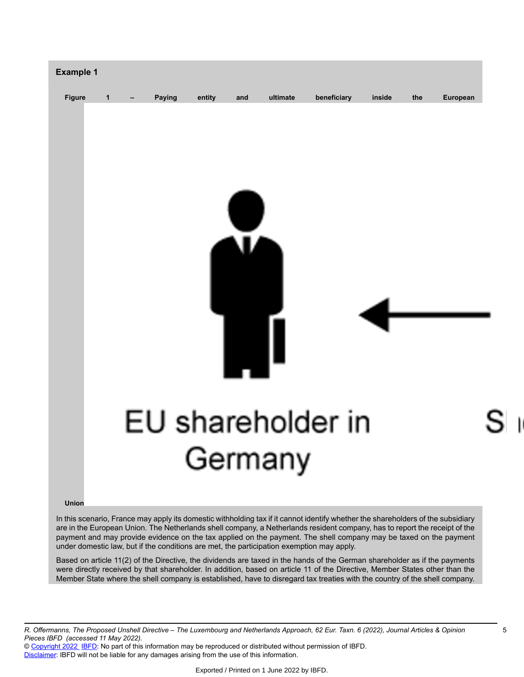

**Union**

In this scenario, France may apply its domestic withholding tax if it cannot identify whether the shareholders of the subsidiary are in the European Union. The Netherlands shell company, a Netherlands resident company, has to report the receipt of the payment and may provide evidence on the tax applied on the payment. The shell company may be taxed on the payment under domestic law, but if the conditions are met, the participation exemption may apply.

Based on article 11(2) of the Directive, the dividends are taxed in the hands of the German shareholder as if the payments were directly received by that shareholder. In addition, based on article 11 of the Directive, Member States other than the Member State where the shell company is established, have to disregard tax treaties with the country of the shell company.

R. Offermanns, The Proposed Unshell Directive - The Luxembourg and Netherlands Approach, 62 Eur. Taxn. 6 (2022), Journal Articles & Opinion *Pieces IBFD (accessed 11 May 2022).*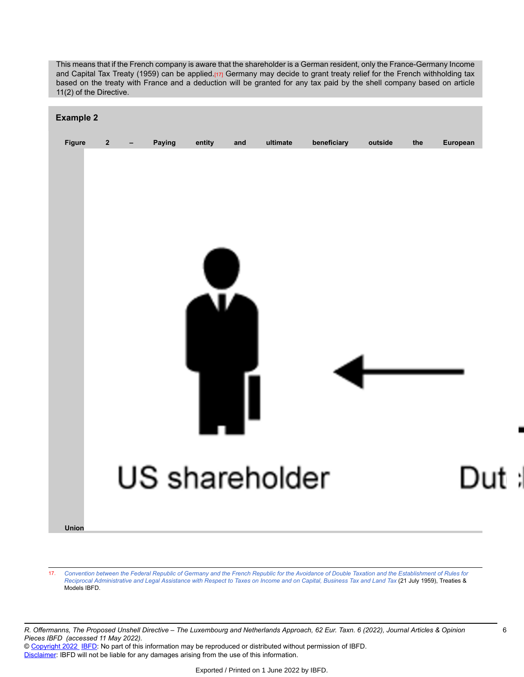This means that if the French company is aware that the shareholder is a German resident, only the France-Germany Income and Capital Tax Treaty (1959) can be applied.[17] Germany may decide to grant treaty relief for the French withholding tax based on the treaty with France and a deduction will be granted for any tax paid by the shell company based on article 11(2) of the Directive.



17. Convention between the Federal Republic of Germany and the French Republic for the Avoidance of Double Taxation and the [Establishment](https://research.ibfd.org/#/doc?url=/linkresolver/static/tt_fr-de_02_eng_1959_tt__td5%23tt_fr-de_02_eng_1959_tt__td5) of Rules for Reciprocal [Administrative](https://research.ibfd.org/#/doc?url=/linkresolver/static/tt_fr-de_02_eng_1959_tt__td5%23tt_fr-de_02_eng_1959_tt__td5) and Legal Assistance with Respect to Taxes on Income and on Capital, Business Tax and Land Tax (21 July 1959), Treaties & Models IBFD.

R. Offermanns, The Proposed Unshell Directive - The Luxembourg and Netherlands Approach, 62 Eur. Taxn. 6 (2022), Journal Articles & Opinion *Pieces IBFD (accessed 11 May 2022).*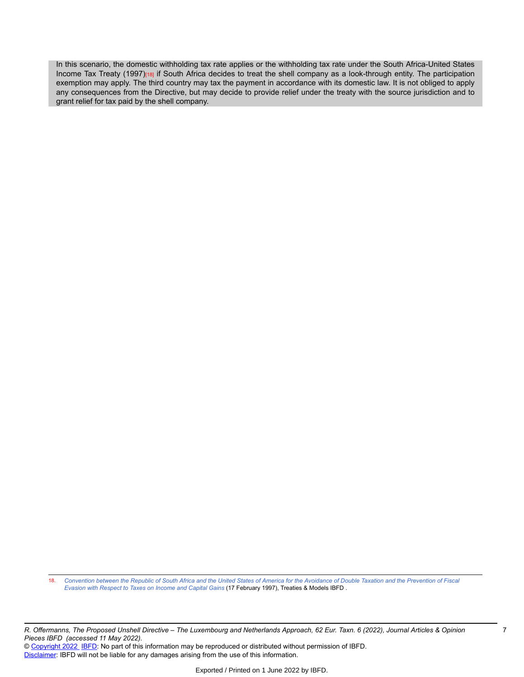In this scenario, the domestic withholding tax rate applies or the withholding tax rate under the South Africa-United States Income Tax Treaty (1997)[18] if South Africa decides to treat the shell company as a look-through entity. The participation exemption may apply. The third country may tax the payment in accordance with its domestic law. It is not obliged to apply any consequences from the Directive, but may decide to provide relief under the treaty with the source jurisdiction and to grant relief for tax paid by the shell company.

18. [Convention](https://research.ibfd.org/#/doc?url=/linkresolver/static/tt_za-us_01_eng_1997_tt__td1%23tt_za-us_01_eng_1997_tt__td1) between the Republic of South Africa and the United States of America for the Avoidance of Double Taxation and the Prevention of Fiscal *Evasion with [Respect](https://research.ibfd.org/#/doc?url=/linkresolver/static/tt_za-us_01_eng_1997_tt__td1%23tt_za-us_01_eng_1997_tt__td1) to Taxes on Income and Capital Gains* (17 February 1997), Treaties & Models IBFD .

R. Offermanns, The Proposed Unshell Directive - The Luxembourg and Netherlands Approach, 62 Eur. Taxn. 6 (2022), Journal Articles & Opinion *Pieces IBFD (accessed 11 May 2022).*

© [Copyright 2022](http://www.ibfd.org/Copyright-IBFD) [IBFD](http://www.ibfd.org): No part of this information may be reproduced or distributed without permission of IBFD. [Disclaimer:](http://www.ibfd.org/Disclaimer) IBFD will not be liable for any damages arising from the use of this information.

7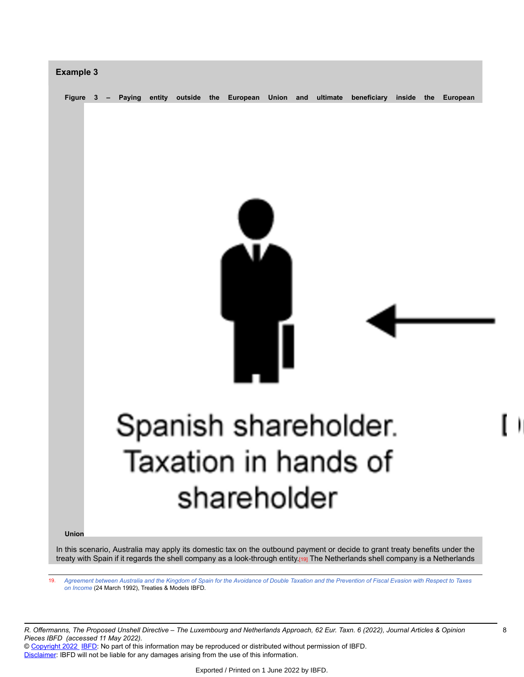

In this scenario, Australia may apply its domestic tax on the outbound payment or decide to grant treaty benefits under the treaty with Spain if it regards the shell company as a look-through entity.[19] The Netherlands shell company is a Netherlands

19. [Agreement](https://research.ibfd.org/#/doc?url=/linkresolver/static/tt_au-es_01_eng_1992_tt__td1%23tt_au-es_01_eng_1992_tt__td1) between Australia and the Kingdom of Spain for the Avoidance of Double Taxation and the Prevention of Fiscal Evasion with Respect to Taxes *[on Income](https://research.ibfd.org/#/doc?url=/linkresolver/static/tt_au-es_01_eng_1992_tt__td1%23tt_au-es_01_eng_1992_tt__td1)* (24 March 1992), Treaties & Models IBFD*.*

R. Offermanns, The Proposed Unshell Directive - The Luxembourg and Netherlands Approach, 62 Eur. Taxn. 6 (2022), Journal Articles & Opinion *Pieces IBFD (accessed 11 May 2022).*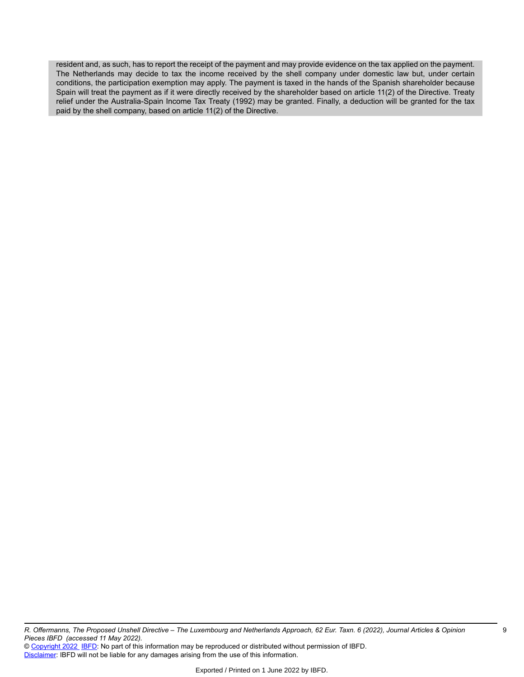resident and, as such, has to report the receipt of the payment and may provide evidence on the tax applied on the payment. The Netherlands may decide to tax the income received by the shell company under domestic law but, under certain conditions, the participation exemption may apply. The payment is taxed in the hands of the Spanish shareholder because Spain will treat the payment as if it were directly received by the shareholder based on article 11(2) of the Directive. Treaty relief under the Australia-Spain Income Tax Treaty (1992) may be granted. Finally, a deduction will be granted for the tax paid by the shell company, based on article 11(2) of the Directive.

R. Offermanns, The Proposed Unshell Directive - The Luxembourg and Netherlands Approach, 62 Eur. Taxn. 6 (2022), Journal Articles & Opinion *Pieces IBFD (accessed 11 May 2022).*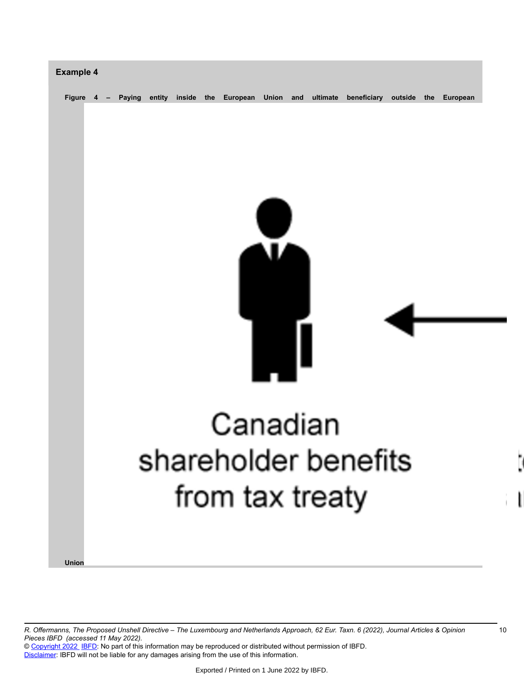

R. Offermanns, The Proposed Unshell Directive - The Luxembourg and Netherlands Approach, 62 Eur. Taxn. 6 (2022), Journal Articles & Opinion *Pieces IBFD (accessed 11 May 2022).*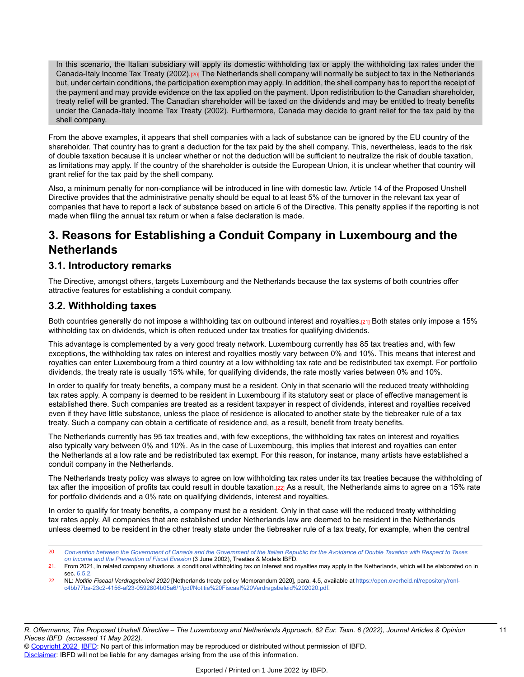In this scenario, the Italian subsidiary will apply its domestic withholding tax or apply the withholding tax rates under the Canada-Italy Income Tax Treaty (2002).[20] The Netherlands shell company will normally be subject to tax in the Netherlands but, under certain conditions, the participation exemption may apply. In addition, the shell company has to report the receipt of the payment and may provide evidence on the tax applied on the payment. Upon redistribution to the Canadian shareholder, treaty relief will be granted. The Canadian shareholder will be taxed on the dividends and may be entitled to treaty benefits under the Canada-Italy Income Tax Treaty (2002). Furthermore, Canada may decide to grant relief for the tax paid by the shell company.

From the above examples, it appears that shell companies with a lack of substance can be ignored by the EU country of the shareholder. That country has to grant a deduction for the tax paid by the shell company. This, nevertheless, leads to the risk of double taxation because it is unclear whether or not the deduction will be sufficient to neutralize the risk of double taxation, as limitations may apply. If the country of the shareholder is outside the European Union, it is unclear whether that country will grant relief for the tax paid by the shell company.

Also, a minimum penalty for non-compliance will be introduced in line with domestic law. Article 14 of the Proposed Unshell Directive provides that the administrative penalty should be equal to at least 5% of the turnover in the relevant tax year of companies that have to report a lack of substance based on article 6 of the Directive. This penalty applies if the reporting is not made when filing the annual tax return or when a false declaration is made.

# **3. Reasons for Establishing a Conduit Company in Luxembourg and the Netherlands**

## **3.1. Introductory remarks**

The Directive, amongst others, targets Luxembourg and the Netherlands because the tax systems of both countries offer attractive features for establishing a conduit company.

## **3.2. Withholding taxes**

Both countries generally do not impose a withholding tax on outbound interest and royalties.[21] Both states only impose a 15% withholding tax on dividends, which is often reduced under tax treaties for qualifying dividends.

This advantage is complemented by a very good treaty network. Luxembourg currently has 85 tax treaties and, with few exceptions, the withholding tax rates on interest and royalties mostly vary between 0% and 10%. This means that interest and royalties can enter Luxembourg from a third country at a low withholding tax rate and be redistributed tax exempt. For portfolio dividends, the treaty rate is usually 15% while, for qualifying dividends, the rate mostly varies between 0% and 10%.

In order to qualify for treaty benefits, a company must be a resident. Only in that scenario will the reduced treaty withholding tax rates apply. A company is deemed to be resident in Luxembourg if its statutory seat or place of effective management is established there. Such companies are treated as a resident taxpayer in respect of dividends, interest and royalties received even if they have little substance, unless the place of residence is allocated to another state by the tiebreaker rule of a tax treaty. Such a company can obtain a certificate of residence and, as a result, benefit from treaty benefits.

The Netherlands currently has 95 tax treaties and, with few exceptions, the withholding tax rates on interest and royalties also typically vary between 0% and 10%. As in the case of Luxembourg, this implies that interest and royalties can enter the Netherlands at a low rate and be redistributed tax exempt. For this reason, for instance, many artists have established a conduit company in the Netherlands.

The Netherlands treaty policy was always to agree on low withholding tax rates under its tax treaties because the withholding of tax after the imposition of profits tax could result in double taxation.[22] As a result, the Netherlands aims to agree on a 15% rate for portfolio dividends and a 0% rate on qualifying dividends, interest and royalties.

In order to qualify for treaty benefits, a company must be a resident. Only in that case will the reduced treaty withholding tax rates apply. All companies that are established under Netherlands law are deemed to be resident in the Netherlands unless deemed to be resident in the other treaty state under the tiebreaker rule of a tax treaty, for example, when the central

<sup>20.</sup> Convention between the [Government](https://research.ibfd.org/#/doc?url=/linkresolver/static/tt_ca-it_01_eng_2002_tt__td1%23tt_ca-it_01_eng_2002_tt__td1) of Canada and the Government of the Italian Republic for the Avoidance of Double Taxation with Respect to Taxes *[on Income and the Prevention of Fiscal Evasion](https://research.ibfd.org/#/doc?url=/linkresolver/static/tt_ca-it_01_eng_2002_tt__td1%23tt_ca-it_01_eng_2002_tt__td1)* (3 June 2002), Treaties & Models IBFD.

<sup>21.</sup> From 2021, in related company situations, a conditional withholding tax on interest and royalties may apply in the Netherlands, which will be elaborated on in sec. 6.5.2

<sup>22.</sup> NL: *Notitie Fiscaal Verdragsbeleid 2020* [Netherlands treaty policy Memorandum 2020], para. 4.5, available at [https://open.overheid.nl/repository/ronl](https://open.overheid.nl/repository/ronl-c4bb77ba-23c2-4156-af23-0592804b05a6/1/pdf/Notitie%20Fiscaal%20Verdragsbeleid%202020.pdf)[c4bb77ba-23c2-4156-af23-0592804b05a6/1/pdf/Notitie%20Fiscaal%20Verdragsbeleid%202020.pdf.](https://open.overheid.nl/repository/ronl-c4bb77ba-23c2-4156-af23-0592804b05a6/1/pdf/Notitie%20Fiscaal%20Verdragsbeleid%202020.pdf)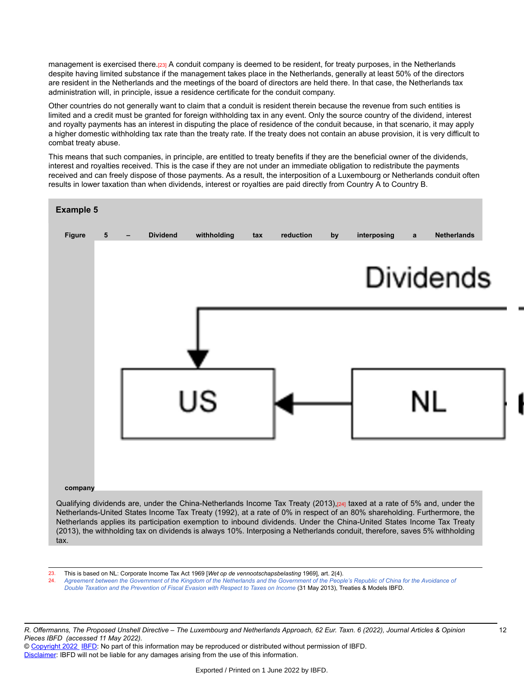management is exercised there.[23] A conduit company is deemed to be resident, for treaty purposes, in the Netherlands despite having limited substance if the management takes place in the Netherlands, generally at least 50% of the directors are resident in the Netherlands and the meetings of the board of directors are held there. In that case, the Netherlands tax administration will, in principle, issue a residence certificate for the conduit company.

Other countries do not generally want to claim that a conduit is resident therein because the revenue from such entities is limited and a credit must be granted for foreign withholding tax in any event. Only the source country of the dividend, interest and royalty payments has an interest in disputing the place of residence of the conduit because, in that scenario, it may apply a higher domestic withholding tax rate than the treaty rate. If the treaty does not contain an abuse provision, it is very difficult to combat treaty abuse.

This means that such companies, in principle, are entitled to treaty benefits if they are the beneficial owner of the dividends, interest and royalties received. This is the case if they are not under an immediate obligation to redistribute the payments received and can freely dispose of those payments. As a result, the interposition of a Luxembourg or Netherlands conduit often results in lower taxation than when dividends, interest or royalties are paid directly from Country A to Country B.



Netherlands applies its participation exemption to inbound dividends. Under the China-United States Income Tax Treaty (2013), the withholding tax on dividends is always 10%. Interposing a Netherlands conduit, therefore, saves 5% withholding tax.

23. This is based on NL: Corporate Income Tax Act 1969 [*Wet op de vennootschapsbelasting* 1969], art. 2(4).

Agreement between the [Government](https://research.ibfd.org/#/doc?url=/linkresolver/static/tt_cn-nl_01_eng_2013_tt__td1%23tt_cn-nl_01_eng_2013_tt__td1) of the Kingdom of the Netherlands and the Government of the People's Republic of China for the Avoidance of *Double Taxation and the [Prevention](https://research.ibfd.org/#/doc?url=/linkresolver/static/tt_cn-nl_01_eng_2013_tt__td1%23tt_cn-nl_01_eng_2013_tt__td1) of Fiscal Evasion with Respect to Taxes on Income* (31 May 2013), Treaties & Models IBFD.

R. Offermanns, The Proposed Unshell Directive - The Luxembourg and Netherlands Approach, 62 Eur. Taxn. 6 (2022), Journal Articles & Opinion *Pieces IBFD (accessed 11 May 2022).*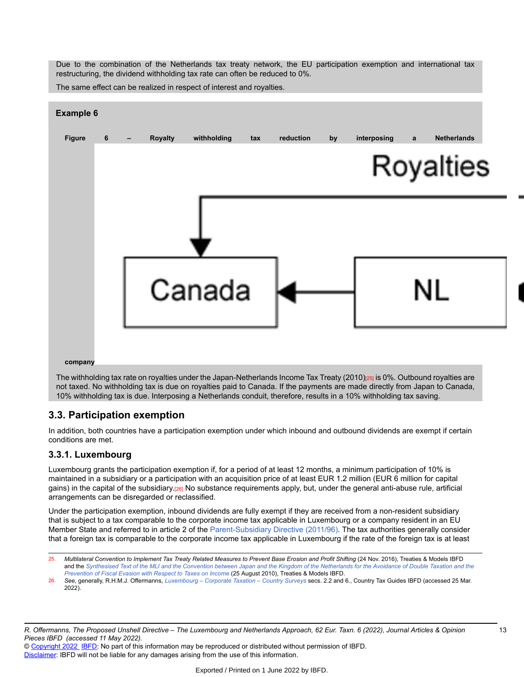Due to the combination of the Netherlands tax treaty network, the EU participation exemption and international tax restructuring, the dividend withholding tax rate can often be reduced to 0%.

The same effect can be realized in respect of interest and royalties.



not taxed. No withholding tax is due on royalties paid to Canada. If the payments are made directly from Japan to Canada, 10% withholding tax is due. Interposing a Netherlands conduit, therefore, results in a 10% withholding tax saving.

## **3.3. Participation exemption**

In addition, both countries have a participation exemption under which inbound and outbound dividends are exempt if certain conditions are met.

### **3.3.1. Luxembourg**

Luxembourg grants the participation exemption if, for a period of at least 12 months, a minimum participation of 10% is maintained in a subsidiary or a participation with an acquisition price of at least EUR 1.2 million (EUR 6 million for capital gains) in the capital of the subsidiary.[26] No substance requirements apply, but, under the general anti-abuse rule, artificial arrangements can be disregarded or reclassified.

Under the participation exemption, inbound dividends are fully exempt if they are received from a non-resident subsidiary that is subject to a tax comparable to the corporate income tax applicable in Luxembourg or a company resident in an EU Member State and referred to in article 2 of the [Parent-Subsidiary](https://research.ibfd.org/#/doc?url=/linkresolver/static/tt_e2_79_eng_2011_tt%23tt_e2_79_eng_2011_tt) Directive (2011/96). The tax authorities generally consider that a foreign tax is comparable to the corporate income tax applicable in Luxembourg if the rate of the foreign tax is at least

<sup>25.</sup> Multilateral Convention to Implement Tax Treaty Related Measures to Prevent Base Erosion and Profit Shifting (24 Nov. 2016), Treaties & Models IBFD and the [Synthesised](https://research.ibfd.org/#/doc?url=/linkresolver/static/tt_jp-nl_01_eng_2010_tt__td3%23tt_jp-nl_01_eng_2010_tt__td3) Text of the MLI and the Convention between Japan and the Kingdom of the Netherlands for the Avoidance of Double Taxation and the *[Prevention](https://research.ibfd.org/#/doc?url=/linkresolver/static/tt_jp-nl_01_eng_2010_tt__td3%23tt_jp-nl_01_eng_2010_tt__td3) of Fiscal Evasion with Respect to Taxes on Income* (25 August 2010), Treaties & Models IBFD.

<sup>26.</sup> *See*, generally, R.H.M.J. Offermanns, *[Luxembourg](https://research.ibfd.org/#/doc?url=/linkresolver/static/gtha_lu%23gtha_lu) – Corporate Taxation – Country Surveys* secs. 2.2 and 6., Country Tax Guides IBFD (accessed 25 Mar. 2022).

R. Offermanns, The Proposed Unshell Directive - The Luxembourg and Netherlands Approach, 62 Eur. Taxn. 6 (2022), Journal Articles & Opinion *Pieces IBFD (accessed 11 May 2022).*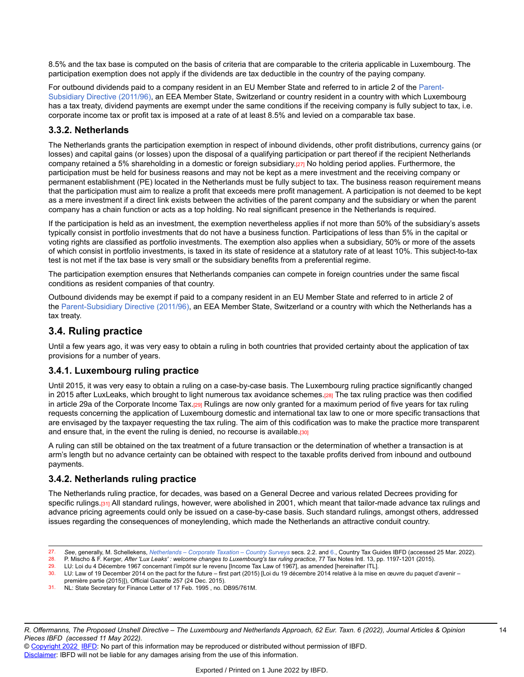8.5% and the tax base is computed on the basis of criteria that are comparable to the criteria applicable in Luxembourg. The participation exemption does not apply if the dividends are tax deductible in the country of the paying company.

For outbound dividends paid to a company resident in an EU Member State and referred to in article 2 of the [Parent-](https://research.ibfd.org/#/doc?url=/linkresolver/static/tt_e2_79_eng_2011_tt%23tt_e2_79_eng_2011_tt)[Subsidiary](https://research.ibfd.org/#/doc?url=/linkresolver/static/tt_e2_79_eng_2011_tt%23tt_e2_79_eng_2011_tt) Directive (2011/96), an EEA Member State, Switzerland or country resident in a country with which Luxembourg has a tax treaty, dividend payments are exempt under the same conditions if the receiving company is fully subject to tax, i.e. corporate income tax or profit tax is imposed at a rate of at least 8.5% and levied on a comparable tax base.

#### **3.3.2. Netherlands**

The Netherlands grants the participation exemption in respect of inbound dividends, other profit distributions, currency gains (or losses) and capital gains (or losses) upon the disposal of a qualifying participation or part thereof if the recipient Netherlands company retained a 5% shareholding in a domestic or foreign subsidiary.[27] No holding period applies. Furthermore, the participation must be held for business reasons and may not be kept as a mere investment and the receiving company or permanent establishment (PE) located in the Netherlands must be fully subject to tax. The business reason requirement means that the participation must aim to realize a profit that exceeds mere profit management. A participation is not deemed to be kept as a mere investment if a direct link exists between the activities of the parent company and the subsidiary or when the parent company has a chain function or acts as a top holding. No real significant presence in the Netherlands is required.

If the participation is held as an investment, the exemption nevertheless applies if not more than 50% of the subsidiary's assets typically consist in portfolio investments that do not have a business function. Participations of less than 5% in the capital or voting rights are classified as portfolio investments. The exemption also applies when a subsidiary, 50% or more of the assets of which consist in portfolio investments, is taxed in its state of residence at a statutory rate of at least 10%. This subject-to-tax test is not met if the tax base is very small or the subsidiary benefits from a preferential regime.

The participation exemption ensures that Netherlands companies can compete in foreign countries under the same fiscal conditions as resident companies of that country.

Outbound dividends may be exempt if paid to a company resident in an EU Member State and referred to in article 2 of the [Parent-Subsidiary](https://research.ibfd.org/#/doc?url=/linkresolver/static/tt_e2_79_eng_2011_tt%23tt_e2_79_eng_2011_tt) Directive (2011/96), an EEA Member State, Switzerland or a country with which the Netherlands has a tax treaty.

## **3.4. Ruling practice**

Until a few years ago, it was very easy to obtain a ruling in both countries that provided certainty about the application of tax provisions for a number of years.

#### **3.4.1. Luxembourg ruling practice**

Until 2015, it was very easy to obtain a ruling on a case-by-case basis. The Luxembourg ruling practice significantly changed in 2015 after LuxLeaks, which brought to light numerous tax avoidance schemes.[28] The tax ruling practice was then codified in article 29a of the Corporate Income Tax.[29] Rulings are now only granted for a maximum period of five years for tax ruling requests concerning the application of Luxembourg domestic and international tax law to one or more specific transactions that are envisaged by the taxpayer requesting the tax ruling. The aim of this codification was to make the practice more transparent and ensure that, in the event the ruling is denied, no recourse is available.[30]

A ruling can still be obtained on the tax treatment of a future transaction or the determination of whether a transaction is at arm's length but no advance certainty can be obtained with respect to the taxable profits derived from inbound and outbound payments.

#### **3.4.2. Netherlands ruling practice**

The Netherlands ruling practice, for decades, was based on a General Decree and various related Decrees providing for specific rulings.[31] All standard rulings, however, were abolished in 2001, which meant that tailor-made advance tax rulings and advance pricing agreements could only be issued on a case-by-case basis. Such standard rulings, amongst others, addressed issues regarding the consequences of moneylending, which made the Netherlands an attractive conduit country.

première partie (2015)]), Official Gazette 257 (24 Dec. 2015).

<sup>27.</sup> *See*, generally, M. Schellekens, *[Netherlands](https://research.ibfd.org/#/doc?url=/linkresolver/static/gtha_nl%23gtha_nl) – Corporate Taxation – Country Surveys* secs. 2.2. and [6.](https://research.ibfd.org/#/doc?url=/linkresolver/static/et_2022_06_lu_1_s_6%23et_2022_06_lu_1_s_6), Country Tax Guides IBFD (accessed 25 Mar. 2022).

<sup>28.</sup> P. Mischo & F. Kerger, *After 'Lux Leaks' : welcome changes to Luxembourg's tax ruling practice*, 77 Tax Notes Intl. 13, pp. 1197-1201 (2015).

<sup>29.</sup> LU: Loi du 4 Décembre 1967 concernant l'impôt sur le revenu [Income Tax Law of 1967], as amended [hereinafter ITL].

<sup>30.</sup> LU: Law of 19 December 2014 on the pact for the future – first part (2015) [Loi du 19 décembre 2014 relative à la mise en œuvre du paquet d'avenir –

<sup>31.</sup> NL: State Secretary for Finance Letter of 17 Feb. 1995 , no. DB95/761M.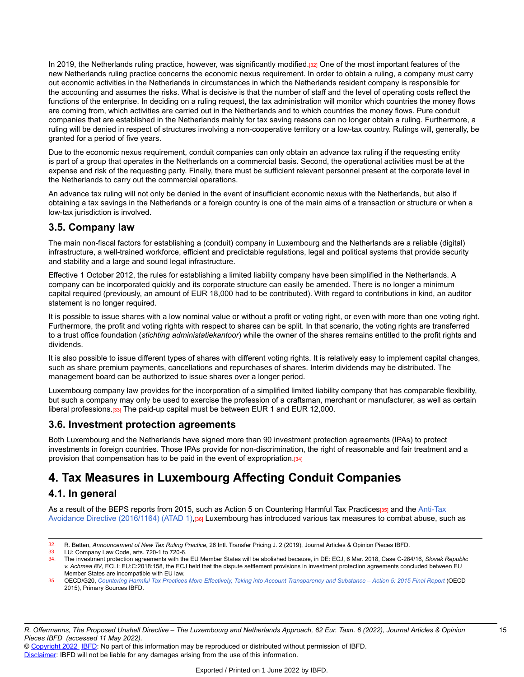In 2019, the Netherlands ruling practice, however, was significantly modified.[32] One of the most important features of the new Netherlands ruling practice concerns the economic nexus requirement. In order to obtain a ruling, a company must carry out economic activities in the Netherlands in circumstances in which the Netherlands resident company is responsible for the accounting and assumes the risks. What is decisive is that the number of staff and the level of operating costs reflect the functions of the enterprise. In deciding on a ruling request, the tax administration will monitor which countries the money flows are coming from, which activities are carried out in the Netherlands and to which countries the money flows. Pure conduit companies that are established in the Netherlands mainly for tax saving reasons can no longer obtain a ruling. Furthermore, a ruling will be denied in respect of structures involving a non-cooperative territory or a low-tax country. Rulings will, generally, be granted for a period of five years.

Due to the economic nexus requirement, conduit companies can only obtain an advance tax ruling if the requesting entity is part of a group that operates in the Netherlands on a commercial basis. Second, the operational activities must be at the expense and risk of the requesting party. Finally, there must be sufficient relevant personnel present at the corporate level in the Netherlands to carry out the commercial operations.

An advance tax ruling will not only be denied in the event of insufficient economic nexus with the Netherlands, but also if obtaining a tax savings in the Netherlands or a foreign country is one of the main aims of a transaction or structure or when a low-tax jurisdiction is involved.

## **3.5. Company law**

The main non-fiscal factors for establishing a (conduit) company in Luxembourg and the Netherlands are a reliable (digital) infrastructure, a well-trained workforce, efficient and predictable regulations, legal and political systems that provide security and stability and a large and sound legal infrastructure.

Effective 1 October 2012, the rules for establishing a limited liability company have been simplified in the Netherlands. A company can be incorporated quickly and its corporate structure can easily be amended. There is no longer a minimum capital required (previously, an amount of EUR 18,000 had to be contributed). With regard to contributions in kind, an auditor statement is no longer required.

It is possible to issue shares with a low nominal value or without a profit or voting right, or even with more than one voting right. Furthermore, the profit and voting rights with respect to shares can be split. In that scenario, the voting rights are transferred to a trust office foundation (*stichting administatiekantoor*) while the owner of the shares remains entitled to the profit rights and dividends.

It is also possible to issue different types of shares with different voting rights. It is relatively easy to implement capital changes, such as share premium payments, cancellations and repurchases of shares. Interim dividends may be distributed. The management board can be authorized to issue shares over a longer period.

Luxembourg company law provides for the incorporation of a simplified limited liability company that has comparable flexibility, but such a company may only be used to exercise the profession of a craftsman, merchant or manufacturer, as well as certain liberal professions.[33] The paid-up capital must be between EUR 1 and EUR 12,000.

### **3.6. Investment protection agreements**

Both Luxembourg and the Netherlands have signed more than 90 investment protection agreements (IPAs) to protect investments in foreign countries. Those IPAs provide for non-discrimination, the right of reasonable and fair treatment and a provision that compensation has to be paid in the event of expropriation.[34]

# **4. Tax Measures in Luxembourg Affecting Conduit Companies**

## **4.1. In general**

As a result of the BEPS reports from 2015, such as Action 5 on Countering Harmful Tax Practices[35] and the [Anti-Tax](https://research.ibfd.org/#/doc?url=/linkresolver/static/tt_e2_00_eng_2016_tt__td1%23tt_e2_00_eng_2016_tt__td1) Avoidance Directive [\(2016/1164\)](https://research.ibfd.org/#/doc?url=/linkresolver/static/tt_e2_00_eng_2016_tt__td1%23tt_e2_00_eng_2016_tt__td1) (ATAD 1),<sup>[36]</sup> Luxembourg has introduced various tax measures to combat abuse, such as

<sup>32.</sup> R. Betten, *Announcement of New Tax Ruling Practice*, 26 Intl. Transfer Pricing J. 2 (2019), Journal Articles & Opinion Pieces IBFD.

<sup>33.</sup> LU: Company Law Code, arts. 720-1 to 720-6.<br>34. The investment protection agreements with the

<sup>34.</sup> The investment protection agreements with the EU Member States will be abolished because, in DE: ECJ, 6 Mar. 2018, Case C-284/16, *Slovak Republic v. Achmea BV*, ECLI: EU:C:2018:158, the ECJ held that the dispute settlement provisions in investment protection agreements concluded between EU Member States are incompatible with EU law.

<sup>35.</sup> OECD/G20, Countering Harmful Tax Practices More Effectively, Taking into Account [Transparency](https://research.ibfd.org/#/doc?url=/linkresolver/static/oecd_beps_action_5_final_report_2015%23oecd_beps_action_5_final_report_2015) and Substance - Action 5: 2015 Final Report (OECD 2015), Primary Sources IBFD.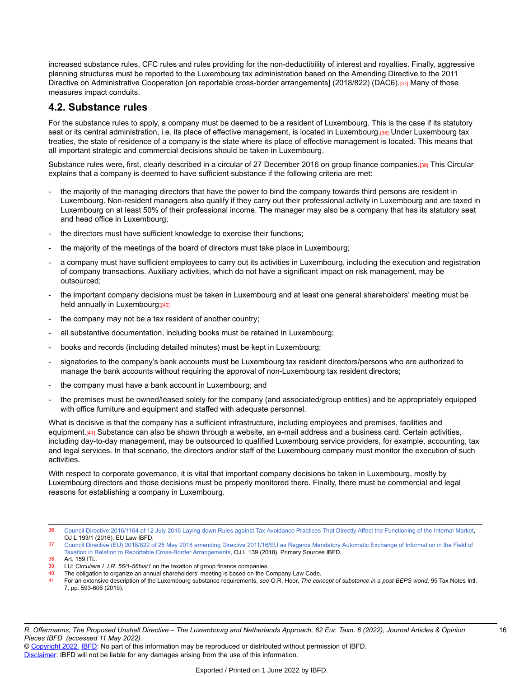increased substance rules, CFC rules and rules providing for the non-deductibility of interest and royalties. Finally, aggressive planning structures must be reported to the Luxembourg tax administration based on the Amending Directive to the 2011 Directive on Administrative Cooperation [on reportable cross-border arrangements] (2018/822) (DAC6).<sup>[37]</sup> Many of those measures impact conduits.

### **4.2. Substance rules**

For the substance rules to apply, a company must be deemed to be a resident of Luxembourg. This is the case if its statutory seat or its central administration, i.e. its place of effective management, is located in Luxembourg.[38] Under Luxembourg tax treaties, the state of residence of a company is the state where its place of effective management is located. This means that all important strategic and commercial decisions should be taken in Luxembourg.

Substance rules were, first, clearly described in a circular of 27 December 2016 on group finance companies.[39] This Circular explains that a company is deemed to have sufficient substance if the following criteria are met:

- the majority of the managing directors that have the power to bind the company towards third persons are resident in Luxembourg. Non-resident managers also qualify if they carry out their professional activity in Luxembourg and are taxed in Luxembourg on at least 50% of their professional income. The manager may also be a company that has its statutory seat and head office in Luxembourg;
- the directors must have sufficient knowledge to exercise their functions;
- the majority of the meetings of the board of directors must take place in Luxembourg;
- a company must have sufficient employees to carry out its activities in Luxembourg, including the execution and registration of company transactions. Auxiliary activities, which do not have a significant impact on risk management, may be outsourced;
- the important company decisions must be taken in Luxembourg and at least one general shareholders' meeting must be held annually in Luxembourg;[40]
- the company may not be a tax resident of another country;
- all substantive documentation, including books must be retained in Luxembourg;
- books and records (including detailed minutes) must be kept in Luxembourg;
- signatories to the company's bank accounts must be Luxembourg tax resident directors/persons who are authorized to manage the bank accounts without requiring the approval of non-Luxembourg tax resident directors;
- the company must have a bank account in Luxembourg; and
- the premises must be owned/leased solely for the company (and associated/group entities) and be appropriately equipped with office furniture and equipment and staffed with adequate personnel.

What is decisive is that the company has a sufficient infrastructure, including employees and premises, facilities and equipment.[41] Substance can also be shown through a website, an e-mail address and a business card. Certain activities, including day-to-day management, may be outsourced to qualified Luxembourg service providers, for example, accounting, tax and legal services. In that scenario, the directors and/or staff of the Luxembourg company must monitor the execution of such activities.

With respect to corporate governance, it is vital that important company decisions be taken in Luxembourg, mostly by Luxembourg directors and those decisions must be properly monitored there. Finally, there must be commercial and legal reasons for establishing a company in Luxembourg.

<sup>36.</sup> Council Directive 2016/1164 of 12 July 2016 Laying down Rules against Tax Avoidance Practices That Directly Affect the [Functioning](https://research.ibfd.org/#/doc?url=/linkresolver/static/tt_e2_00_eng_2016_tt%23tt_e2_00_eng_2016_tt) of the Internal Market, OJ L 193/1 (2016), EU Law IBFD.

<sup>37.</sup> Council Directive (EU) 2018/822 of 25 May 2018 amending Directive [2011/16/EU](https://research.ibfd.org/#/doc?url=/linkresolver/static/eulaw_dir_2018_822%23eulaw_dir_2018_822) as Regards Mandatory Automatic Exchange of Information in the Field of Taxation in Relation to Reportable Cross-Border [Arrangements,](https://research.ibfd.org/#/doc?url=/linkresolver/static/eulaw_dir_2018_822%23eulaw_dir_2018_822) OJ L 139 (2018), Primary Sources IBFD.

<sup>38.</sup> Art. 159 ITL.

<sup>39.</sup> LU: *Circulaire L.I.R. 56/1-56bis/1* on the taxation of group finance companies.

The obligation to organize an annual shareholders' meeting is based on the Company Law Code.

<sup>41.</sup> For an extensive description of the Luxembourg substance requirements, *see* O.R. Hoor, *The concept of substance in a post-BEPS world*, 95 Tax Notes Intl. 7, pp. 593-606 (2019).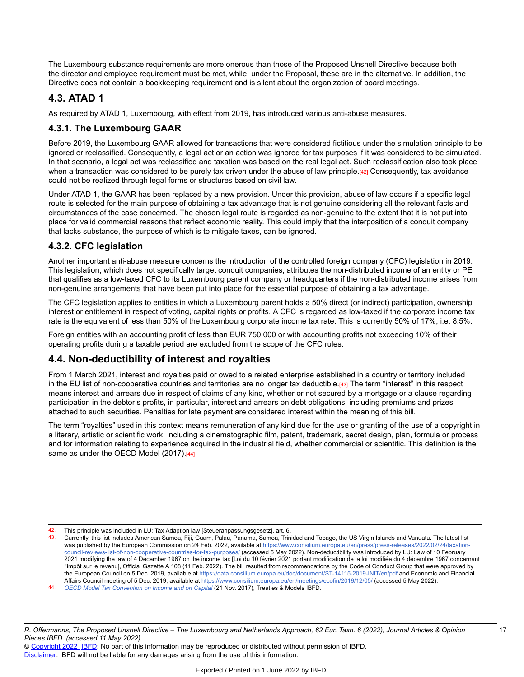The Luxembourg substance requirements are more onerous than those of the Proposed Unshell Directive because both the director and employee requirement must be met, while, under the Proposal, these are in the alternative. In addition, the Directive does not contain a bookkeeping requirement and is silent about the organization of board meetings.

## **4.3. ATAD 1**

As required by ATAD 1, Luxembourg, with effect from 2019, has introduced various anti-abuse measures.

### **4.3.1. The Luxembourg GAAR**

Before 2019, the Luxembourg GAAR allowed for transactions that were considered fictitious under the simulation principle to be ignored or reclassified. Consequently, a legal act or an action was ignored for tax purposes if it was considered to be simulated. In that scenario, a legal act was reclassified and taxation was based on the real legal act. Such reclassification also took place when a transaction was considered to be purely tax driven under the abuse of law principle.[42] Consequently, tax avoidance could not be realized through legal forms or structures based on civil law.

Under ATAD 1, the GAAR has been replaced by a new provision. Under this provision, abuse of law occurs if a specific legal route is selected for the main purpose of obtaining a tax advantage that is not genuine considering all the relevant facts and circumstances of the case concerned. The chosen legal route is regarded as non-genuine to the extent that it is not put into place for valid commercial reasons that reflect economic reality. This could imply that the interposition of a conduit company that lacks substance, the purpose of which is to mitigate taxes, can be ignored.

### **4.3.2. CFC legislation**

Another important anti-abuse measure concerns the introduction of the controlled foreign company (CFC) legislation in 2019. This legislation, which does not specifically target conduit companies, attributes the non-distributed income of an entity or PE that qualifies as a low-taxed CFC to its Luxembourg parent company or headquarters if the non-distributed income arises from non-genuine arrangements that have been put into place for the essential purpose of obtaining a tax advantage.

The CFC legislation applies to entities in which a Luxembourg parent holds a 50% direct (or indirect) participation, ownership interest or entitlement in respect of voting, capital rights or profits. A CFC is regarded as low-taxed if the corporate income tax rate is the equivalent of less than 50% of the Luxembourg corporate income tax rate. This is currently 50% of 17%, i.e. 8.5%.

Foreign entities with an accounting profit of less than EUR 750,000 or with accounting profits not exceeding 10% of their operating profits during a taxable period are excluded from the scope of the CFC rules.

## **4.4. Non-deductibility of interest and royalties**

From 1 March 2021, interest and royalties paid or owed to a related enterprise established in a country or territory included in the EU list of non-cooperative countries and territories are no longer tax deductible.[43] The term "interest" in this respect means interest and arrears due in respect of claims of any kind, whether or not secured by a mortgage or a clause regarding participation in the debtor's profits, in particular, interest and arrears on debt obligations, including premiums and prizes attached to such securities. Penalties for late payment are considered interest within the meaning of this bill.

The term "royalties" used in this context means remuneration of any kind due for the use or granting of the use of a copyright in a literary, artistic or scientific work, including a cinematographic film, patent, trademark, secret design, plan, formula or process and for information relating to experience acquired in the industrial field, whether commercial or scientific. This definition is the same as under the OECD Model (2017).[44]

<sup>42.</sup> This principle was included in LU: Tax Adaption law [Steueranpassungsgesetz], art. 6.

<sup>43.</sup> Currently, this list includes American Samoa, Fiji, Guam, Palau, Panama, Samoa, Trinidad and Tobago, the US Virgin Islands and Vanuatu. The latest list was published by the European Commission on 24 Feb. 2022, available at [https://www.consilium.europa.eu/en/press/press-releases/2022/02/24/taxation](https://www.consilium.europa.eu/en/press/press-releases/2022/02/24/taxation-council-reviews-list-of-non-cooperative-countries-for-tax-purposes/)[council-reviews-list-of-non-cooperative-countries-for-tax-purposes/](https://www.consilium.europa.eu/en/press/press-releases/2022/02/24/taxation-council-reviews-list-of-non-cooperative-countries-for-tax-purposes/) (accessed 5 May 2022). Non-deductibility was introduced by LU: Law of 10 February 2021 modifying the law of 4 December 1967 on the income tax [Loi du 10 février 2021 portant modification de la loi modifiée du 4 décembre 1967 concernant l'impôt sur le revenu], Official Gazette A 108 (11 Feb. 2022). The bill resulted from recommendations by the Code of Conduct Group that were approved by the European Council on 5 Dec. 2019, available at <https://data.consilium.europa.eu/doc/document/ST-14115-2019-INIT/en/pdf>and Economic and Financial Affairs Council meeting of 5 Dec. 2019, available at <https://www.consilium.europa.eu/en/meetings/ecofin/2019/12/05/> (accessed 5 May 2022).

<sup>44.</sup> *OECD Model Tax [Convention](https://research.ibfd.org/#/doc?url=/linkresolver/static/tt_o2_02_eng_2017_mo__td1%23tt_o2_02_eng_2017_mo__td1) on Income and on Capital* (21 Nov. 2017), Treaties & Models IBFD.

<sup>©</sup> [Copyright 2022](http://www.ibfd.org/Copyright-IBFD) [IBFD](http://www.ibfd.org): No part of this information may be reproduced or distributed without permission of IBFD. [Disclaimer:](http://www.ibfd.org/Disclaimer) IBFD will not be liable for any damages arising from the use of this information.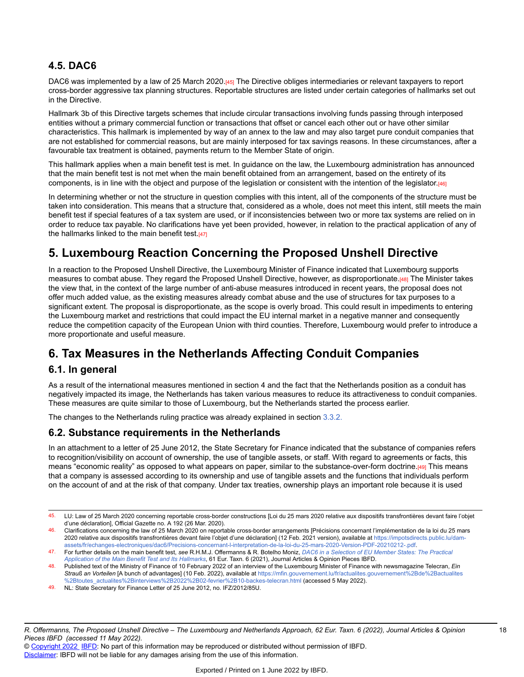## **4.5. DAC6**

DAC6 was implemented by a law of 25 March 2020.[45] The Directive obliges intermediaries or relevant taxpayers to report cross-border aggressive tax planning structures. Reportable structures are listed under certain categories of hallmarks set out in the Directive.

Hallmark 3b of this Directive targets schemes that include circular transactions involving funds passing through interposed entities without a primary commercial function or transactions that offset or cancel each other out or have other similar characteristics. This hallmark is implemented by way of an annex to the law and may also target pure conduit companies that are not established for commercial reasons, but are mainly interposed for tax savings reasons. In these circumstances, after a favourable tax treatment is obtained, payments return to the Member State of origin.

This hallmark applies when a main benefit test is met. In guidance on the law, the Luxembourg administration has announced that the main benefit test is not met when the main benefit obtained from an arrangement, based on the entirety of its components, is in line with the object and purpose of the legislation or consistent with the intention of the legislator.[46]

In determining whether or not the structure in question complies with this intent, all of the components of the structure must be taken into consideration. This means that a structure that, considered as a whole, does not meet this intent, still meets the main benefit test if special features of a tax system are used, or if inconsistencies between two or more tax systems are relied on in order to reduce tax payable. No clarifications have yet been provided, however, in relation to the practical application of any of the hallmarks linked to the main benefit test. $[47]$ 

# **5. Luxembourg Reaction Concerning the Proposed Unshell Directive**

In a reaction to the Proposed Unshell Directive, the Luxembourg Minister of Finance indicated that Luxembourg supports measures to combat abuse. They regard the Proposed Unshell Directive, however, as disproportionate.[48] The Minister takes the view that, in the context of the large number of anti-abuse measures introduced in recent years, the proposal does not offer much added value, as the existing measures already combat abuse and the use of structures for tax purposes to a significant extent. The proposal is disproportionate, as the scope is overly broad. This could result in impediments to entering the Luxembourg market and restrictions that could impact the EU internal market in a negative manner and consequently reduce the competition capacity of the European Union with third counties. Therefore, Luxembourg would prefer to introduce a more proportionate and useful measure.

# **6. Tax Measures in the Netherlands Affecting Conduit Companies**

## **6.1. In general**

As a result of the international measures mentioned in section 4 and the fact that the Netherlands position as a conduit has negatively impacted its image, the Netherlands has taken various measures to reduce its attractiveness to conduit companies. These measures are quite similar to those of Luxembourg, but the Netherlands started the process earlier.

The changes to the Netherlands ruling practice was already explained in section [3.3.2.](https://research.ibfd.org/#/doc?url=/linkresolver/static/et_2022_06_lu_1_s_3_3_2%23et_2022_06_lu_1_s_3_3_2)

## **6.2. Substance requirements in the Netherlands**

In an attachment to a letter of 25 June 2012, the State Secretary for Finance indicated that the substance of companies refers to recognition/visibility on account of ownership, the use of tangible assets, or staff. With regard to agreements or facts, this means "economic reality" as opposed to what appears on paper, similar to the substance-over-form doctrine.[49] This means that a company is assessed according to its ownership and use of tangible assets and the functions that individuals perform on the account of and at the risk of that company. Under tax treaties, ownership plays an important role because it is used

<sup>45.</sup> LU: Law of 25 March 2020 concerning reportable cross-border constructions [Loi du 25 mars 2020 relative aux dispositifs transfrontières devant faire l'objet d'une déclaration], Official Gazette no. A 192 (26 Mar. 2020).

<sup>46.</sup> Clarifications concerning the law of 25 March 2020 on reportable cross-border arrangements [Précisions concernant l'implémentation de la loi du 25 mars 2020 relative aux dispositifs transfrontières devant faire l'objet d'une déclaration] (12 Feb. 2021 version), available at [https://impotsdirects.public.lu/dam](https://impotsdirects.public.lu/dam-assets/fr/echanges-electroniques/dac6/Precisions-concernant-l-interpretation-de-la-loi-du-25-mars-2020-Version-PDF-20210212-.pdf)[assets/fr/echanges-electroniques/dac6/Precisions-concernant-l-interpretation-de-la-loi-du-25-mars-2020-Version-PDF-20210212-.pdf.](https://impotsdirects.public.lu/dam-assets/fr/echanges-electroniques/dac6/Precisions-concernant-l-interpretation-de-la-loi-du-25-mars-2020-Version-PDF-20210212-.pdf)

<sup>47.</sup> For further details on the main benefit test, *see* R.H.M.J. Offermanns & R. Botelho Moniz, *[DAC6 in a Selection of EU Member States: The Practical](https://research.ibfd.org/#/doc?url=/linkresolver/static/et_2021_06_e2_2%23et_2021_06_e2_2) [Application](https://research.ibfd.org/#/doc?url=/linkresolver/static/et_2021_06_e2_2%23et_2021_06_e2_2) of the Main Benefit Test and Its Hallmarks*, 61 Eur. Taxn. 6 (2021), Journal Articles & Opinion Pieces IBFD.

<sup>48.</sup> Published text of the Ministry of Finance of 10 February 2022 of an interview of the Luxembourg Minister of Finance with newsmagazine Telecran, *Ein Strauß an Vorteilen* [A bunch of advantages] (10 Feb. 2022), available at [https://mfin.gouvernement.lu/fr/actualites.gouvernement%2Bde%2Bactualites](https://mfin.gouvernement.lu/fr/actualites.gouvernement%2Bde%2Bactualites%2Btoutes_actualites%2Binterviews%2B2022%2B02-fevrier%2B10-backes-telecran.html) [%2Btoutes\\_actualites%2Binterviews%2B2022%2B02-fevrier%2B10-backes-telecran.html](https://mfin.gouvernement.lu/fr/actualites.gouvernement%2Bde%2Bactualites%2Btoutes_actualites%2Binterviews%2B2022%2B02-fevrier%2B10-backes-telecran.html) (accessed 5 May 2022).

<sup>49.</sup> NL: State Secretary for Finance Letter of 25 June 2012, no. IFZ/2012/85U.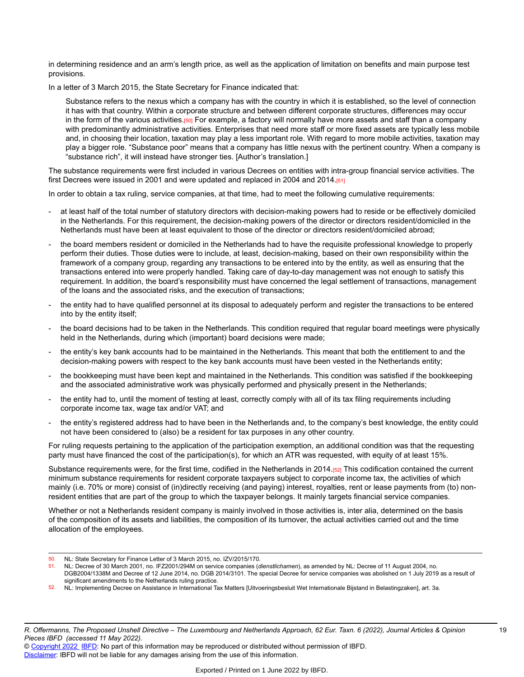in determining residence and an arm's length price, as well as the application of limitation on benefits and main purpose test provisions.

In a letter of 3 March 2015, the State Secretary for Finance indicated that:

Substance refers to the nexus which a company has with the country in which it is established, so the level of connection it has with that country. Within a corporate structure and between different corporate structures, differences may occur in the form of the various activities.<sup>[50]</sup> For example, a factory will normally have more assets and staff than a company with predominantly administrative activities. Enterprises that need more staff or more fixed assets are typically less mobile and, in choosing their location, taxation may play a less important role. With regard to more mobile activities, taxation may play a bigger role. "Substance poor" means that a company has little nexus with the pertinent country. When a company is "substance rich", it will instead have stronger ties. [Author's translation.]

The substance requirements were first included in various Decrees on entities with intra-group financial service activities. The first Decrees were issued in 2001 and were updated and replaced in 2004 and 2014. $[51]$ 

In order to obtain a tax ruling, service companies, at that time, had to meet the following cumulative requirements:

- at least half of the total number of statutory directors with decision-making powers had to reside or be effectively domiciled in the Netherlands. For this requirement, the decision-making powers of the director or directors resident/domiciled in the Netherlands must have been at least equivalent to those of the director or directors resident/domiciled abroad;
- the board members resident or domiciled in the Netherlands had to have the requisite professional knowledge to properly perform their duties. Those duties were to include, at least, decision-making, based on their own responsibility within the framework of a company group, regarding any transactions to be entered into by the entity, as well as ensuring that the transactions entered into were properly handled. Taking care of day-to-day management was not enough to satisfy this requirement. In addition, the board's responsibility must have concerned the legal settlement of transactions, management of the loans and the associated risks, and the execution of transactions;
- the entity had to have qualified personnel at its disposal to adequately perform and register the transactions to be entered into by the entity itself;
- the board decisions had to be taken in the Netherlands. This condition required that regular board meetings were physically held in the Netherlands, during which (important) board decisions were made;
- the entity's key bank accounts had to be maintained in the Netherlands. This meant that both the entitlement to and the decision-making powers with respect to the key bank accounts must have been vested in the Netherlands entity;
- the bookkeeping must have been kept and maintained in the Netherlands. This condition was satisfied if the bookkeeping and the associated administrative work was physically performed and physically present in the Netherlands;
- the entity had to, until the moment of testing at least, correctly comply with all of its tax filing requirements including corporate income tax, wage tax and/or VAT; and
- the entity's registered address had to have been in the Netherlands and, to the company's best knowledge, the entity could not have been considered to (also) be a resident for tax purposes in any other country.

For ruling requests pertaining to the application of the participation exemption, an additional condition was that the requesting party must have financed the cost of the participation(s), for which an ATR was requested, with equity of at least 15%.

Substance requirements were, for the first time, codified in the Netherlands in 2014.<sup>[52]</sup> This codification contained the current minimum substance requirements for resident corporate taxpayers subject to corporate income tax, the activities of which mainly (i.e. 70% or more) consist of (in)directly receiving (and paying) interest, royalties, rent or lease payments from (to) nonresident entities that are part of the group to which the taxpayer belongs. It mainly targets financial service companies.

Whether or not a Netherlands resident company is mainly involved in those activities is, inter alia, determined on the basis of the composition of its assets and liabilities, the composition of its turnover, the actual activities carried out and the time allocation of the employees.

52. NL: Implementing Decree on Assistance in International Tax Matters [Uitvoeringsbesluit Wet Internationale Bijstand in Belastingzaken], art. 3a*.*

<sup>50.</sup> NL: State Secretary for Finance Letter of 3 March 2015, no. IZV/2015/170.

<sup>51.</sup> NL: Decree of 30 March 2001, no. IFZ2001/294M on service companies (*dienstlichamen*), as amended by NL: Decree of 11 August 2004, no. DGB2004/1338M and Decree of 12 June 2014, no. DGB 2014/3101. The special Decree for service companies was abolished on 1 July 2019 as a result of significant amendments to the Netherlands ruling practice.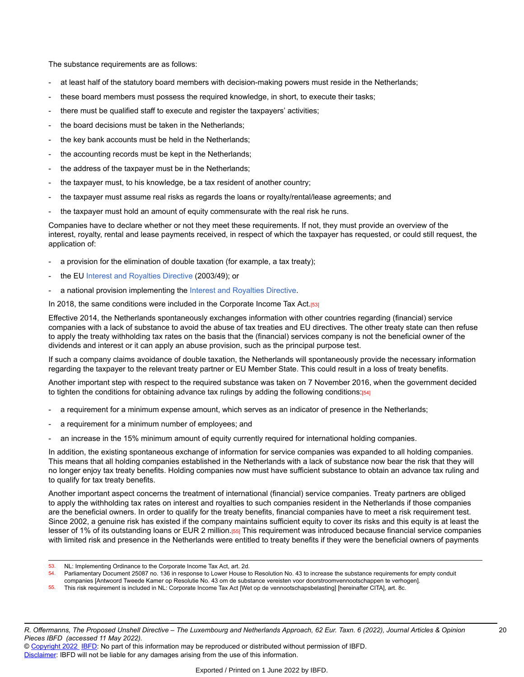The substance requirements are as follows:

- at least half of the statutory board members with decision-making powers must reside in the Netherlands;
- these board members must possess the required knowledge, in short, to execute their tasks;
- there must be qualified staff to execute and register the taxpayers' activities;
- the board decisions must be taken in the Netherlands;
- the key bank accounts must be held in the Netherlands;
- the accounting records must be kept in the Netherlands;
- the address of the taxpayer must be in the Netherlands;
- the taxpayer must, to his knowledge, be a tax resident of another country;
- the taxpayer must assume real risks as regards the loans or royalty/rental/lease agreements; and
- the taxpayer must hold an amount of equity commensurate with the real risk he runs.

Companies have to declare whether or not they meet these requirements. If not, they must provide an overview of the interest, royalty, rental and lease payments received, in respect of which the taxpayer has requested, or could still request, the application of:

- a provision for the elimination of double taxation (for example, a tax treaty);
- the EU [Interest and Royalties Directive](https://research.ibfd.org/#/doc?url=/linkresolver/static/tt_e2_82_eng_2003_tt%23tt_e2_82_eng_2003_tt) (2003/49); or
- a national provision implementing the [Interest and Royalties Directive](https://research.ibfd.org/#/doc?url=/linkresolver/static/tt_e2_82_eng_2003_tt%23tt_e2_82_eng_2003_tt).

In 2018, the same conditions were included in the Corporate Income Tax Act. $[53]$ 

Effective 2014, the Netherlands spontaneously exchanges information with other countries regarding (financial) service companies with a lack of substance to avoid the abuse of tax treaties and EU directives. The other treaty state can then refuse to apply the treaty withholding tax rates on the basis that the (financial) services company is not the beneficial owner of the dividends and interest or it can apply an abuse provision, such as the principal purpose test.

If such a company claims avoidance of double taxation, the Netherlands will spontaneously provide the necessary information regarding the taxpayer to the relevant treaty partner or EU Member State. This could result in a loss of treaty benefits.

Another important step with respect to the required substance was taken on 7 November 2016, when the government decided to tighten the conditions for obtaining advance tax rulings by adding the following conditions: $[54]$ 

- a requirement for a minimum expense amount, which serves as an indicator of presence in the Netherlands;
- a requirement for a minimum number of employees; and
- an increase in the 15% minimum amount of equity currently required for international holding companies.

In addition, the existing spontaneous exchange of information for service companies was expanded to all holding companies. This means that all holding companies established in the Netherlands with a lack of substance now bear the risk that they will no longer enjoy tax treaty benefits. Holding companies now must have sufficient substance to obtain an advance tax ruling and to qualify for tax treaty benefits.

Another important aspect concerns the treatment of international (financial) service companies. Treaty partners are obliged to apply the withholding tax rates on interest and royalties to such companies resident in the Netherlands if those companies are the beneficial owners. In order to qualify for the treaty benefits, financial companies have to meet a risk requirement test. Since 2002, a genuine risk has existed if the company maintains sufficient equity to cover its risks and this equity is at least the lesser of 1% of its outstanding loans or EUR 2 million.<sup>[55]</sup> This requirement was introduced because financial service companies with limited risk and presence in the Netherlands were entitled to treaty benefits if they were the beneficial owners of payments

<sup>53.</sup> NL: Implementing Ordinance to the Corporate Income Tax Act, art. 2d.

<sup>54.</sup> Parliamentary Document 25087 no. 136 in response to Lower House to Resolution No. 43 to increase the substance requirements for empty conduit

companies [Antwoord Tweede Kamer op Resolutie No. 43 om de substance vereisten voor doorstroomvennootschappen te verhogen]*.*

<sup>55.</sup> This risk requirement is included in NL: Corporate Income Tax Act [Wet op de vennootschapsbelasting] [hereinafter CITA], art. 8c.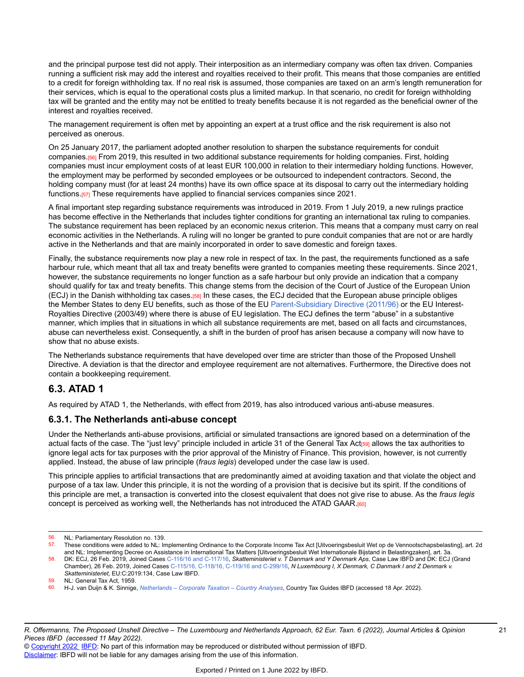and the principal purpose test did not apply. Their interposition as an intermediary company was often tax driven. Companies running a sufficient risk may add the interest and royalties received to their profit. This means that those companies are entitled to a credit for foreign withholding tax. If no real risk is assumed, those companies are taxed on an arm's length remuneration for their services, which is equal to the operational costs plus a limited markup. In that scenario, no credit for foreign withholding tax will be granted and the entity may not be entitled to treaty benefits because it is not regarded as the beneficial owner of the interest and royalties received.

The management requirement is often met by appointing an expert at a trust office and the risk requirement is also not perceived as onerous.

On 25 January 2017, the parliament adopted another resolution to sharpen the substance requirements for conduit companies.<sup>[56]</sup> From 2019, this resulted in two additional substance requirements for holding companies. First, holding companies must incur employment costs of at least EUR 100,000 in relation to their intermediary holding functions. However, the employment may be performed by seconded employees or be outsourced to independent contractors. Second, the holding company must (for at least 24 months) have its own office space at its disposal to carry out the intermediary holding functions.[57] These requirements have applied to financial services companies since 2021.

A final important step regarding substance requirements was introduced in 2019. From 1 July 2019, a new rulings practice has become effective in the Netherlands that includes tighter conditions for granting an international tax ruling to companies. The substance requirement has been replaced by an economic nexus criterion. This means that a company must carry on real economic activities in the Netherlands. A ruling will no longer be granted to pure conduit companies that are not or are hardly active in the Netherlands and that are mainly incorporated in order to save domestic and foreign taxes.

Finally, the substance requirements now play a new role in respect of tax. In the past, the requirements functioned as a safe harbour rule, which meant that all tax and treaty benefits were granted to companies meeting these requirements. Since 2021, however, the substance requirements no longer function as a safe harbour but only provide an indication that a company should qualify for tax and treaty benefits. This change stems from the decision of the Court of Justice of the European Union (ECJ) in the Danish withholding tax cases.[58] In these cases, the ECJ decided that the European abuse principle obliges the Member States to deny EU benefits, such as those of the EU [Parent-Subsidiary](https://research.ibfd.org/#/doc?url=/linkresolver/static/tt_e2_79_eng_2011_tt%23tt_e2_79_eng_2011_tt) Directive (2011/96) or the EU Interest-Royalties Directive (2003/49) where there is abuse of EU legislation. The ECJ defines the term "abuse" in a substantive manner, which implies that in situations in which all substance requirements are met, based on all facts and circumstances, abuse can nevertheless exist. Consequently, a shift in the burden of proof has arisen because a company will now have to show that no abuse exists.

The Netherlands substance requirements that have developed over time are stricter than those of the Proposed Unshell Directive. A deviation is that the director and employee requirement are not alternatives. Furthermore, the Directive does not contain a bookkeeping requirement.

## **6.3. ATAD 1**

As required by ATAD 1, the Netherlands, with effect from 2019, has also introduced various anti-abuse measures.

#### **6.3.1. The Netherlands anti-abuse concept**

Under the Netherlands anti-abuse provisions, artificial or simulated transactions are ignored based on a determination of the actual facts of the case. The "just levy" principle included in article 31 of the General Tax Act<sub>[59]</sub> allows the tax authorities to ignore legal acts for tax purposes with the prior approval of the Ministry of Finance. This provision, however, is not currently applied. Instead, the abuse of law principle (*fraus legis*) developed under the case law is used.

This principle applies to artificial transactions that are predominantly aimed at avoiding taxation and that violate the object and purpose of a tax law. Under this principle, it is not the wording of a provision that is decisive but its spirit. If the conditions of this principle are met, a transaction is converted into the closest equivalent that does not give rise to abuse. As the *fraus legis* concept is perceived as working well, the Netherlands has not introduced the ATAD GAAR.[60]

<sup>56.</sup> NL: Parliamentary Resolution no. 139.<br>57. These conditions were added to NL: It

These conditions were added to NL: Implementing Ordinance to the Corporate Income Tax Act [Uitvoeringsbesluit Wet op de Vennootschapsbelasting], art. 2d and NL: Implementing Decree on Assistance in International Tax Matters [Uitvoeringsbesluit Wet Internationale Bijstand in Belastingzaken], art. 3a.

<sup>58.</sup> DK: ECJ, 26 Feb. 2019, Joined Cases [C-116/16](https://research.ibfd.org/#/doc?url=/linkresolver/static/ecj_c_116_16%23ecj_c_116_16) and C-117/16, *Skatteministeriet v. T Danmark and Y Denmark Aps*, Case Law IBFD and DK: ECJ (Grand Chamber), 26 Feb. 2019, Joined Cases C-115/16, [C-118/16,](https://research.ibfd.org/#/doc?url=/linkresolver/static/ecj_c_115_16%23ecj_c_115_16) C-119/16 and C-299/16, *N Luxembourg I, X Denmark, C Danmark I and Z Denmark v. Skatteministeriet*, EU:C:2019:134, Case Law IBFD.

<sup>59.</sup> NL: General Tax Act, 1959.

<sup>60.</sup> H-J. van Duijn & K. Sinnige, *[Netherlands](https://research.ibfd.org/#/doc?url=/linkresolver/static/cta_nl%23cta_nl) – Corporate Taxation – Country Analyses*, Country Tax Guides IBFD (accessed 18 Apr. 2022).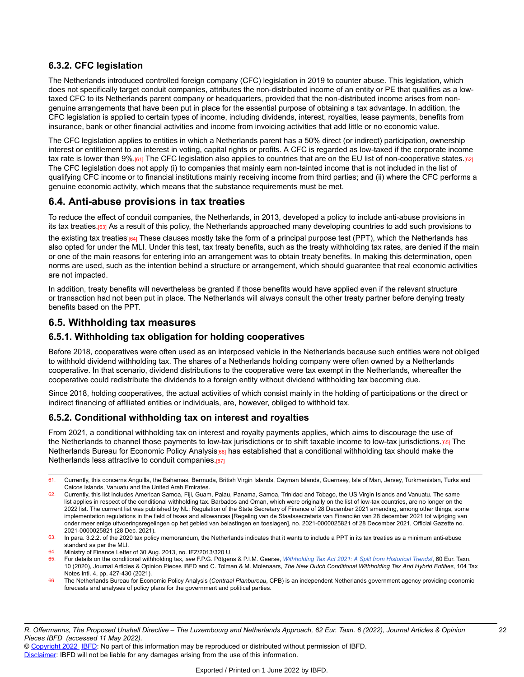### **6.3.2. CFC legislation**

The Netherlands introduced controlled foreign company (CFC) legislation in 2019 to counter abuse. This legislation, which does not specifically target conduit companies, attributes the non-distributed income of an entity or PE that qualifies as a lowtaxed CFC to its Netherlands parent company or headquarters, provided that the non-distributed income arises from nongenuine arrangements that have been put in place for the essential purpose of obtaining a tax advantage. In addition, the CFC legislation is applied to certain types of income, including dividends, interest, royalties, lease payments, benefits from insurance, bank or other financial activities and income from invoicing activities that add little or no economic value.

The CFC legislation applies to entities in which a Netherlands parent has a 50% direct (or indirect) participation, ownership interest or entitlement to an interest in voting, capital rights or profits. A CFC is regarded as low-taxed if the corporate income tax rate is lower than 9%.[61] The CFC legislation also applies to countries that are on the EU list of non-cooperative states.[62] The CFC legislation does not apply (i) to companies that mainly earn non-tainted income that is not included in the list of qualifying CFC income or to financial institutions mainly receiving income from third parties; and (ii) where the CFC performs a genuine economic activity, which means that the substance requirements must be met.

### **6.4. Anti-abuse provisions in tax treaties**

To reduce the effect of conduit companies, the Netherlands, in 2013, developed a policy to include anti-abuse provisions in its tax treaties.<sup>[63]</sup> As a result of this policy, the Netherlands approached many developing countries to add such provisions to

the existing tax treaties<sup>.</sup>[64] These clauses mostly take the form of a principal purpose test (PPT), which the Netherlands has also opted for under the MLI. Under this test, tax treaty benefits, such as the treaty withholding tax rates, are denied if the main or one of the main reasons for entering into an arrangement was to obtain treaty benefits. In making this determination, open norms are used, such as the intention behind a structure or arrangement, which should guarantee that real economic activities are not impacted.

In addition, treaty benefits will nevertheless be granted if those benefits would have applied even if the relevant structure or transaction had not been put in place. The Netherlands will always consult the other treaty partner before denying treaty benefits based on the PPT.

### **6.5. Withholding tax measures**

#### **6.5.1. Withholding tax obligation for holding cooperatives**

Before 2018, cooperatives were often used as an interposed vehicle in the Netherlands because such entities were not obliged to withhold dividend withholding tax. The shares of a Netherlands holding company were often owned by a Netherlands cooperative. In that scenario, dividend distributions to the cooperative were tax exempt in the Netherlands, whereafter the cooperative could redistribute the dividends to a foreign entity without dividend withholding tax becoming due.

Since 2018, holding cooperatives, the actual activities of which consist mainly in the holding of participations or the direct or indirect financing of affiliated entities or individuals, are, however, obliged to withhold tax.

#### **6.5.2. Conditional withholding tax on interest and royalties**

From 2021, a conditional withholding tax on interest and royalty payments applies, which aims to discourage the use of the Netherlands to channel those payments to low-tax jurisdictions or to shift taxable income to low-tax jurisdictions.[65] The Netherlands Bureau for Economic Policy Analysis<sub>[66]</sub> has established that a conditional withholding tax should make the Netherlands less attractive to conduit companies.<sup>[67]</sup>

<sup>61.</sup> Currently, this concerns Anguilla, the Bahamas, Bermuda, British Virgin Islands, Cayman Islands, Guernsey, Isle of Man, Jersey, Turkmenistan, Turks and Caicos Islands, Vanuatu and the United Arab Emirates.

<sup>62.</sup> Currently, this list includes American Samoa, Fiji, Guam, Palau, Panama, Samoa, Trinidad and Tobago, the US Virgin Islands and Vanuatu. The same list applies in respect of the conditional withholding tax. Barbados and Oman, which were originally on the list of low-tax countries, are no longer on the 2022 list. The currrent list was published by NL: Regulation of the State Secretary of Finance of 28 December 2021 amending, among other things, some implementation regulations in the field of taxes and allowances [Regeling van de Staatssecretaris van Financiën van 28 december 2021 tot wijziging van onder meer enige uitvoeringsregelingen op het gebied van belastingen en toeslagen], no. 2021-0000025821 of 28 December 2021, Official Gazette no. 2021-0000025821 (28 Dec. 2021).

<sup>63.</sup> In para. 3.2.2. of the 2020 tax policy memorandum, the Netherlands indicates that it wants to include a PPT in its tax treaties as a minimum anti-abuse standard as per the MLI.

<sup>64.</sup> Ministry of Finance Letter of 30 Aug. 2013, no. IFZ/2013/320 U.

<sup>65.</sup> For details on the conditional withholding tax, see F.P.G. Pötgens & P.I.M. Geerse, [Withholding](https://research.ibfd.org/#/doc?url=/linkresolver/static/et_2020_10_nl_1%23et_2020_10_nl_1) Tax Act 2021: A Split from Historical Trends!, 60 Eur. Taxn. 10 (2020), Journal Articles & Opinion Pieces IBFD and C. Tolman & M. Molenaars, *The New Dutch Conditional Withholding Tax And Hybrid Entities*, 104 Tax Notes Intl. 4, pp. 427-430 (2021).

<sup>66.</sup> The Netherlands Bureau for Economic Policy Analysis (*Centraal Planbureau*, CPB) is an independent Netherlands government agency providing economic forecasts and analyses of policy plans for the government and political parties.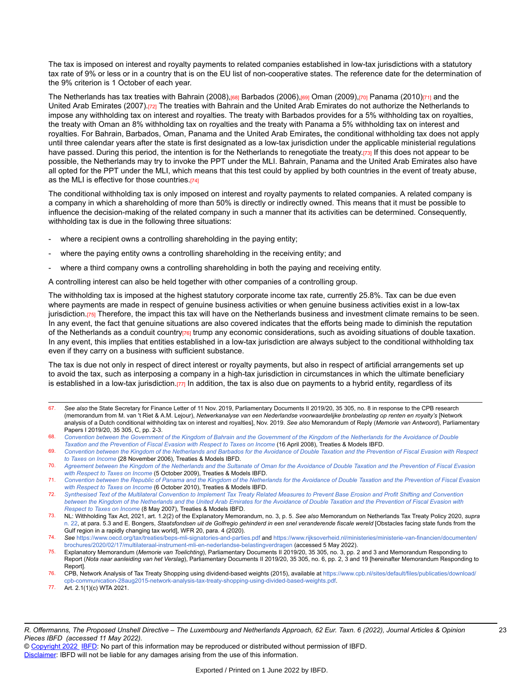The tax is imposed on interest and royalty payments to related companies established in low-tax jurisdictions with a statutory tax rate of 9% or less or in a country that is on the EU list of non-cooperative states. The reference date for the determination of the 9% criterion is 1 October of each year.

The Netherlands has tax treaties with Bahrain (2008),<sup>[68]</sup> Barbados (2006),<sup>[69]</sup> Oman (2009),[70] Panama (2010)<sup>[71]</sup> and the United Arab Emirates (2007).[72] The treaties with Bahrain and the United Arab Emirates do not authorize the Netherlands to impose any withholding tax on interest and royalties. The treaty with Barbados provides for a 5% withholding tax on royalties, the treaty with Oman an 8% withholding tax on royalties and the treaty with Panama a 5% withholding tax on interest and royalties. For Bahrain, Barbados, Oman, Panama and the United Arab Emirates**,** the conditional withholding tax does not apply until three calendar years after the state is first designated as a low-tax jurisdiction under the applicable ministerial regulations have passed. During this period, the intention is for the Netherlands to renegotiate the treaty.[73] If this does not appear to be possible, the Netherlands may try to invoke the PPT under the MLI. Bahrain, Panama and the United Arab Emirates also have all opted for the PPT under the MLI, which means that this test could by applied by both countries in the event of treaty abuse, as the MLI is effective for those countries.[74]

The conditional withholding tax is only imposed on interest and royalty payments to related companies. A related company is a company in which a shareholding of more than 50% is directly or indirectly owned. This means that it must be possible to influence the decision-making of the related company in such a manner that its activities can be determined. Consequently, withholding tax is due in the following three situations:

- where a recipient owns a controlling shareholding in the paying entity;
- where the paying entity owns a controlling shareholding in the receiving entity; and
- where a third company owns a controlling shareholding in both the paying and receiving entity.

A controlling interest can also be held together with other companies of a controlling group.

The withholding tax is imposed at the highest statutory corporate income tax rate, currently 25.8%. Tax can be due even where payments are made in respect of genuine business activities or when genuine business activities exist in a low-tax jurisdiction.[75] Therefore, the impact this tax will have on the Netherlands business and investment climate remains to be seen. In any event, the fact that genuine situations are also covered indicates that the efforts being made to diminish the reputation of the Netherlands as a conduit country[76] trump any economic considerations, such as avoiding situations of double taxation. In any event, this implies that entities established in a low-tax jurisdiction are always subject to the conditional withholding tax even if they carry on a business with sufficient substance.

The tax is due not only in respect of direct interest or royalty payments, but also in respect of artificial arrangements set up to avoid the tax, such as interposing a company in a high-tax jurisdiction in circumstances in which the ultimate beneficiary is established in a low-tax jurisdiction. $\eta$ <sub>1</sub> In addition, the tax is also due on payments to a hybrid entity, regardless of its

- 67. *See also* the State Secretary for Finance Letter of 11 Nov. 2019, Parliamentary Documents II 2019/20, 35 305, no. 8 in response to the CPB research (memorandum from M. van 't Riet & A.M. Lejour), *Netwerkanalyse van een Nederlandse voorwaardelijke bronbelasting op renten en royalty's* [Network analysis of a Dutch conditional withholding tax on interest and royalties], Nov. 2019. *See also* Memorandum of Reply (*Memorie van Antwoord*), Parliamentary Papers I 2019/20, 35 305, C, pp. 2-3.
- 68. Convention between the [Government](https://research.ibfd.org/#/doc?url=/linkresolver/static/tt_bh-nl_01_eng_2008_tt__td1%23tt_bh-nl_01_eng_2008_tt__td1) of the Kingdom of Bahrain and the Government of the Kingdom of the Netherlands for the Avoidance of Double *Taxation and the [Prevention](https://research.ibfd.org/#/doc?url=/linkresolver/static/tt_bh-nl_01_eng_2008_tt__td1%23tt_bh-nl_01_eng_2008_tt__td1) of Fiscal Evasion with Respect to Taxes on Income* (16 April 2008), Treaties & Models IBFD.

75. Explanatory Memorandum (*Memorie van Toelichting*), Parliamentary Documents II 2019/20, 35 305, no. 3, pp. 2 and 3 and Memorandum Responding to Report (*Nota naar aanleiding van het Verslag*), Parliamentary Documents II 2019/20, 35 305, no. 6, pp. 2, 3 and 19 [hereinafter Memorandum Responding to Report].

<sup>69.</sup> Convention between the Kingdom of the [Netherlands](https://research.ibfd.org/#/doc?url=/linkresolver/static/tt_bb-nl_01_eng_2006_tt__td2%23tt_bb-nl_01_eng_2006_tt__td2) and Barbados for the Avoidance of Double Taxation and the Prevention of Fiscal Evasion with Respect *to Taxes on [Income](https://research.ibfd.org/#/doc?url=/linkresolver/static/tt_bb-nl_01_eng_2006_tt__td2%23tt_bb-nl_01_eng_2006_tt__td2)* (28 November 2006), Treaties & Models IBFD.

<sup>70.</sup> Agreement between the Kingdom of the [Netherlands](https://research.ibfd.org/#/doc?url=/linkresolver/static/tt_nl-om_01_eng_2009_tt__td1%23tt_nl-om_01_eng_2009_tt__td1) and the Sultanate of Oman for the Avoidance of Double Taxation and the Prevention of Fiscal Evasion *with [Respect](https://research.ibfd.org/#/doc?url=/linkresolver/static/tt_nl-om_01_eng_2009_tt__td1%23tt_nl-om_01_eng_2009_tt__td1) to Taxes on Income* (5 October 2009), Treaties & Models IBFD.

<sup>71.</sup> Convention between the Republic of Panama and the Kingdom of the [Netherlands](https://research.ibfd.org/#/doc?url=/linkresolver/static/tt_nl-pa_01_eng_2010_tt__td1%23tt_nl-pa_01_eng_2010_tt__td1) for the Avoidance of Double Taxation and the Prevention of Fiscal Evasion *with [Respect](https://research.ibfd.org/#/doc?url=/linkresolver/static/tt_nl-pa_01_eng_2010_tt__td1%23tt_nl-pa_01_eng_2010_tt__td1) to Taxes on Income* (6 October 2010), Treaties & Models IBFD.

<sup>72.</sup> [Synthesised](https://research.ibfd.org/#/doc?url=/linkresolver/static/tt_nl-ae_01_eng_2007_tt__td2%23tt_nl-ae_01_eng_2007_tt__td2) Text of the Multilateral Convention to Implement Tax Treaty Related Measures to Prevent Base Erosion and Profit Shifting and Convention between the Kingdom of the [Netherlands](https://research.ibfd.org/#/doc?url=/linkresolver/static/tt_nl-ae_01_eng_2007_tt__td2%23tt_nl-ae_01_eng_2007_tt__td2) and the United Arab Emirates for the Avoidance of Double Taxation and the Prevention of Fiscal Evasion with *[Respect](https://research.ibfd.org/#/doc?url=/linkresolver/static/tt_nl-ae_01_eng_2007_tt__td2%23tt_nl-ae_01_eng_2007_tt__td2) to Taxes on Income* (8 May 2007), Treaties & Models IBFD.

<sup>73.</sup> NL: Withholding Tax Act, 2021, art. 1.2(2) of the Explanatory Memorandum, no. 3, p. 5. *See also* Memorandum on Netherlands Tax Treaty Policy 2020, *supra* [n. 22,](https://research.ibfd.org/#/doc?url=/linkresolver/static/et_2022_06_lu_1_fn_22%23et_2022_06_lu_1_fn_22) at para. 5.3 and E. Bongers, Staatsfondsen uit de Golfregio gehinderd in een snel veranderende fiscale wereld [Obstacles facing state funds from the Gulf region in a rapidly changing tax world], WFR 20, para. 4 (2020).

<sup>74.</sup> *See* <https://www.oecd.org/tax/treaties/beps-mli-signatories-and-parties.pdf> and [https://www.rijksoverheid.nl/ministeries/ministerie-van-financien/documenten/](https://www.rijksoverheid.nl/ministeries/ministerie-van-financien/documenten/brochures/2020/02/17/multilateraal-instrument-mli-en-nederlandse-belastingverdragen) [brochures/2020/02/17/multilateraal-instrument-mli-en-nederlandse-belastingverdragen](https://www.rijksoverheid.nl/ministeries/ministerie-van-financien/documenten/brochures/2020/02/17/multilateraal-instrument-mli-en-nederlandse-belastingverdragen) (accessed 5 May 2022).

<sup>76.</sup> CPB, Network Analysis of Tax Treaty Shopping using dividend-based weights (2015), available at [https://www.cpb.nl/sites/default/files/publicaties/download/](https://www.cpb.nl/sites/default/files/publicaties/download/cpb-communication-28aug2015-network-analysis-tax-treaty-shopping-using-divided-based-weights.pdf) [cpb-communication-28aug2015-network-analysis-tax-treaty-shopping-using-divided-based-weights.pdf.](https://www.cpb.nl/sites/default/files/publicaties/download/cpb-communication-28aug2015-network-analysis-tax-treaty-shopping-using-divided-based-weights.pdf)

<sup>77.</sup> Art. 2.1(1)(c) WTA 2021.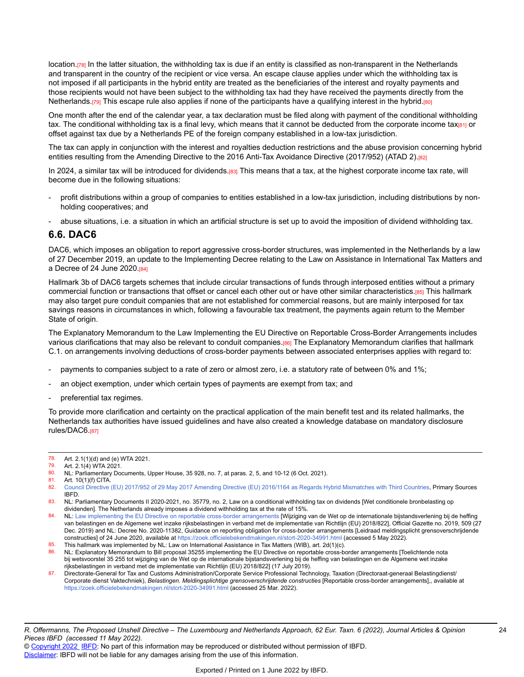location.<sup>[78]</sup> In the latter situation, the withholding tax is due if an entity is classified as non-transparent in the Netherlands and transparent in the country of the recipient or vice versa. An escape clause applies under which the withholding tax is not imposed if all participants in the hybrid entity are treated as the beneficiaries of the interest and royalty payments and those recipients would not have been subject to the withholding tax had they have received the payments directly from the Netherlands.[79] This escape rule also applies if none of the participants have a qualifying interest in the hybrid.[80]

One month after the end of the calendar year, a tax declaration must be filed along with payment of the conditional withholding tax. The conditional withholding tax is a final levy, which means that it cannot be deducted from the corporate income taxien or offset against tax due by a Netherlands PE of the foreign company established in a low-tax jurisdiction.

The tax can apply in conjunction with the interest and royalties deduction restrictions and the abuse provision concerning hybrid entities resulting from the Amending Directive to the 2016 Anti-Tax Avoidance Directive (2017/952) (ATAD 2).<sup>[82]</sup>

In 2024, a similar tax will be introduced for dividends.[83] This means that a tax, at the highest corporate income tax rate, will become due in the following situations:

- profit distributions within a group of companies to entities established in a low-tax jurisdiction, including distributions by nonholding cooperatives; and
- abuse situations, i.e. a situation in which an artificial structure is set up to avoid the imposition of dividend withholding tax.

#### **6.6. DAC6**

DAC6, which imposes an obligation to report aggressive cross-border structures, was implemented in the Netherlands by a law of 27 December 2019, an update to the Implementing Decree relating to the Law on Assistance in International Tax Matters and a Decree of 24 June 2020.[84]

Hallmark 3b of DAC6 targets schemes that include circular transactions of funds through interposed entities without a primary commercial function or transactions that offset or cancel each other out or have other similar characteristics.[85] This hallmark may also target pure conduit companies that are not established for commercial reasons, but are mainly interposed for tax savings reasons in circumstances in which, following a favourable tax treatment, the payments again return to the Member State of origin.

The Explanatory Memorandum to the Law Implementing the EU Directive on Reportable Cross-Border Arrangements includes various clarifications that may also be relevant to conduit companies.[86] The Explanatory Memorandum clarifies that hallmark C.1. on arrangements involving deductions of cross-border payments between associated enterprises applies with regard to:

- payments to companies subject to a rate of zero or almost zero, i.e. a statutory rate of between 0% and 1%;
- an object exemption, under which certain types of payments are exempt from tax; and
- preferential tax regimes.

To provide more clarification and certainty on the practical application of the main benefit test and its related hallmarks, the Netherlands tax authorities have issued guidelines and have also created a knowledge database on mandatory disclosure rules/DAC6.<sup>[87]</sup>

<sup>78.</sup> Art. 2.1(1)(d) and (e) WTA 2021.

<sup>79.</sup> Art. 2.1(4) WTA 2021.

<sup>80.</sup> NL: Parliamentary Documents, Upper House, 35 928, no. 7, at paras. 2, 5, and 10-12 (6 Oct. 2021).<br>81. Art. 10(1)(f) CITA

<sup>81.</sup> Art. 10(1)(f) CITA.<br>82. Council Directive

<sup>82.</sup> Council Directive (EU) 2017/952 of 29 May 2017 Amending Directive (EU) 2016/1164 as Regards Hybrid [Mismatches](https://research.ibfd.org/#/doc?url=/linkresolver/static/eulaw_dir_2017_952%23eulaw_dir_2017_952) with Third Countries, Primary Sources IBFD.

<sup>83.</sup> NL: Parliamentary Documents II 2020-2021, no. 35779, no. 2, Law on a conditional withholding tax on dividends [Wet conditionele bronbelasting op dividenden]. The Netherlands already imposes a dividend withholding tax at the rate of 15%.

<sup>84.</sup> NL: [Law implementing the EU Directive on reportable cross-border arrangements](https://wetten.overheid.nl/BWBR0043034/2020-07-01) [Wijziging van de Wet op de internationale bijstandsverlening bij de heffing van belastingen en de Algemene wet inzake rijksbelastingen in verband met de implementatie van Richtlijn (EU) 2018/822], Official Gazette no. 2019, 509 (27 Dec. 2019) and NL: Decree No. 2020-11382, Guidance on reporting obligation for cross-border arrangements [Leidraad meldingsplicht grensoverschrijdende constructies] of 24 June 2020, available at <https://zoek.officielebekendmakingen.nl/stcrt-2020-34991.html>(accessed 5 May 2022). 85. This hallmark was implemented by NL: Law on International Assistance in Tax Matters (WIB), art. 2d(1)(c).

<sup>86.</sup> NL: Explanatory Memorandum to Bill proposal 35255 implementing the EU Directive on reportable cross-border arrangements [Toelichtende nota bij wetsvoorstel 35 255 tot wijziging van de Wet op de internationale bijstandsverlening bij de heffing van belastingen en de Algemene wet inzake rijksbelastingen in verband met de implementatie van Richtlijn (EU) 2018/822] (17 July 2019).

Directorate-General for Tax and Customs Administration/Corporate Service Professional Technology, Taxation (Directoraat-generaal Belastingdienst/ Corporate dienst Vaktechniek), *Belastingen. Meldingsplichtige grensoverschrijdende constructies* [Reportable cross-border arrangements],, available at <https://zoek.officielebekendmakingen.nl/stcrt-2020-34991.html> (accessed 25 Mar. 2022).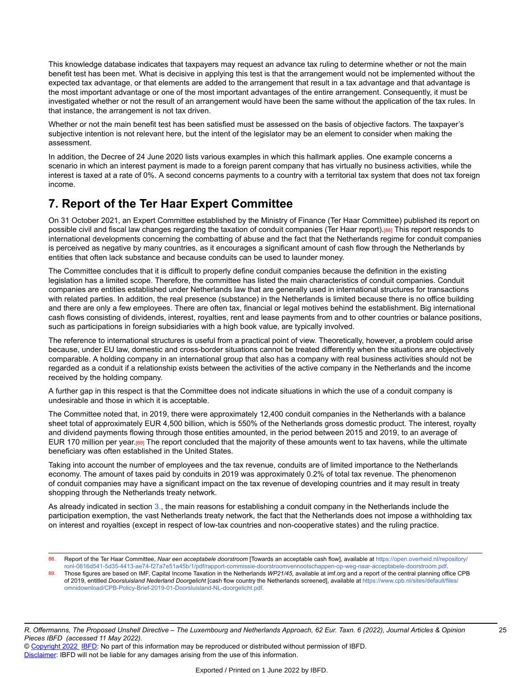This knowledge database indicates that taxpayers may request an advance tax ruling to determine whether or not the main benefit test has been met. What is decisive in applying this test is that the arrangement would not be implemented without the expected tax advantage, or that elements are added to the arrangement that result in a tax advantage and that advantage is the most important advantage or one of the most important advantages of the entire arrangement. Consequently, it must be investigated whether or not the result of an arrangement would have been the same without the application of the tax rules. In that instance, the arrangement is not tax driven.

Whether or not the main benefit test has been satisfied must be assessed on the basis of objective factors. The taxpayer's subjective intention is not relevant here, but the intent of the legislator may be an element to consider when making the assessment.

In addition, the Decree of 24 June 2020 lists various examples in which this hallmark applies. One example concerns a scenario in which an interest payment is made to a foreign parent company that has virtually no business activities, while the interest is taxed at a rate of 0%. A second concerns payments to a country with a territorial tax system that does not tax foreign income.

# **7. Report of the Ter Haar Expert Committee**

On 31 October 2021, an Expert Committee established by the Ministry of Finance (Ter Haar Committee) published its report on possible civil and fiscal law changes regarding the taxation of conduit companies (Ter Haar report).<sup>[88]</sup> This report responds to international developments concerning the combatting of abuse and the fact that the Netherlands regime for conduit companies is perceived as negative by many countries, as it encourages a significant amount of cash flow through the Netherlands by entities that often lack substance and because conduits can be used to launder money.

The Committee concludes that it is difficult to properly define conduit companies because the definition in the existing legislation has a limited scope. Therefore, the committee has listed the main characteristics of conduit companies. Conduit companies are entities established under Netherlands law that are generally used in international structures for transactions with related parties. In addition, the real presence (substance) in the Netherlands is limited because there is no office building and there are only a few employees. There are often tax, financial or legal motives behind the establishment. Big international cash flows consisting of dividends, interest, royalties, rent and lease payments from and to other countries or balance positions, such as participations in foreign subsidiaries with a high book value, are typically involved.

The reference to international structures is useful from a practical point of view. Theoretically, however, a problem could arise because, under EU law, domestic and cross-border situations cannot be treated differently when the situations are objectively comparable. A holding company in an international group that also has a company with real business activities should not be regarded as a conduit if a relationship exists between the activities of the active company in the Netherlands and the income received by the holding company.

A further gap in this respect is that the Committee does not indicate situations in which the use of a conduit company is undesirable and those in which it is acceptable.

The Committee noted that, in 2019, there were approximately 12,400 conduit companies in the Netherlands with a balance sheet total of approximately EUR 4,500 billion, which is 550% of the Netherlands gross domestic product. The interest, royalty and dividend payments flowing through those entities amounted, in the period between 2015 and 2019, to an average of EUR 170 million per year.[89] The report concluded that the majority of these amounts went to tax havens, while the ultimate beneficiary was often established in the United States.

Taking into account the number of employees and the tax revenue, conduits are of limited importance to the Netherlands economy. The amount of taxes paid by conduits in 2019 was approximately 0.2% of total tax revenue. The phenomenon of conduit companies may have a significant impact on the tax revenue of developing countries and it may result in treaty shopping through the Netherlands treaty network.

As already indicated in section [3.](https://research.ibfd.org/#/doc?url=/linkresolver/static/et_2022_06_lu_1_s_3%23et_2022_06_lu_1_s_3), the main reasons for establishing a conduit company in the Netherlands include the participation exemption, the vast Netherlands treaty network, the fact that the Netherlands does not impose a withholding tax on interest and royalties (except in respect of low-tax countries and non-cooperative states) and the ruling practice.

<sup>88.</sup> Report of the Ter Haar Committee, Naar een acceptabele doorstroom [Towards an acceptable cash flow], available at [https://open.overheid.nl/repository/](https://open.overheid.nl/repository/ronl-0816d541-5d35-4413-ae74-f27a7e51a45b/1/pdf/rapport-commissie-doorstroomvennootschappen-op-weg-naar-acceptabele-doorstroom.pdf) [ronl-0816d541-5d35-4413-ae74-f27a7e51a45b/1/pdf/rapport-commissie-doorstroomvennootschappen-op-weg-naar-acceptabele-doorstroom.pdf](https://open.overheid.nl/repository/ronl-0816d541-5d35-4413-ae74-f27a7e51a45b/1/pdf/rapport-commissie-doorstroomvennootschappen-op-weg-naar-acceptabele-doorstroom.pdf).

<sup>89.</sup> Those figures are based on IMF, Capital Income Taxation in the Netherlands *WP21/45*, available at imf.org and a report of the central planning office CPB of 2019, entitled *Doorsluisland Nederland Doorgelicht* [cash flow country the Netherlands screened], available at [https://www.cpb.nl/sites/default/files/](https://www.cpb.nl/sites/default/files/omnidownload/CPB-Policy-Brief-2019-01-Doorsluisland-NL-doorgelicht.pdf) [omnidownload/CPB-Policy-Brief-2019-01-Doorsluisland-NL-doorgelicht.pdf.](https://www.cpb.nl/sites/default/files/omnidownload/CPB-Policy-Brief-2019-01-Doorsluisland-NL-doorgelicht.pdf)

<sup>©</sup> [Copyright 2022](http://www.ibfd.org/Copyright-IBFD) [IBFD](http://www.ibfd.org): No part of this information may be reproduced or distributed without permission of IBFD. [Disclaimer:](http://www.ibfd.org/Disclaimer) IBFD will not be liable for any damages arising from the use of this information.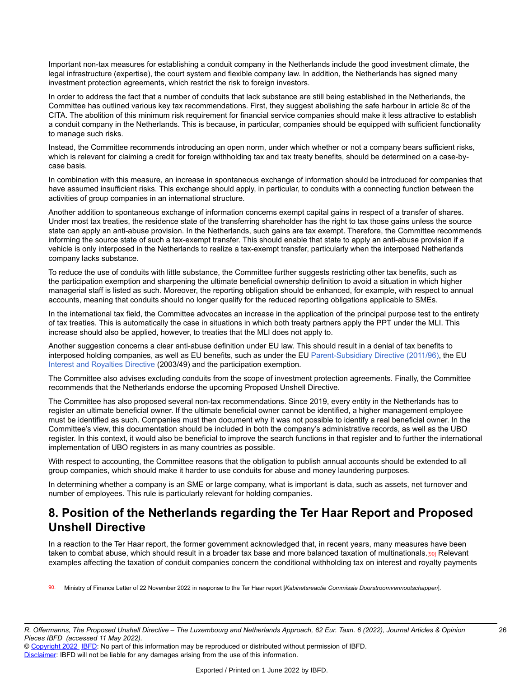Important non-tax measures for establishing a conduit company in the Netherlands include the good investment climate, the legal infrastructure (expertise), the court system and flexible company law. In addition, the Netherlands has signed many investment protection agreements, which restrict the risk to foreign investors.

In order to address the fact that a number of conduits that lack substance are still being established in the Netherlands, the Committee has outlined various key tax recommendations. First, they suggest abolishing the safe harbour in article 8c of the CITA. The abolition of this minimum risk requirement for financial service companies should make it less attractive to establish a conduit company in the Netherlands. This is because, in particular, companies should be equipped with sufficient functionality to manage such risks.

Instead, the Committee recommends introducing an open norm, under which whether or not a company bears sufficient risks, which is relevant for claiming a credit for foreign withholding tax and tax treaty benefits, should be determined on a case-bycase basis.

In combination with this measure, an increase in spontaneous exchange of information should be introduced for companies that have assumed insufficient risks. This exchange should apply, in particular, to conduits with a connecting function between the activities of group companies in an international structure.

Another addition to spontaneous exchange of information concerns exempt capital gains in respect of a transfer of shares. Under most tax treaties, the residence state of the transferring shareholder has the right to tax those gains unless the source state can apply an anti-abuse provision. In the Netherlands, such gains are tax exempt. Therefore, the Committee recommends informing the source state of such a tax-exempt transfer. This should enable that state to apply an anti-abuse provision if a vehicle is only interposed in the Netherlands to realize a tax-exempt transfer, particularly when the interposed Netherlands company lacks substance.

To reduce the use of conduits with little substance, the Committee further suggests restricting other tax benefits, such as the participation exemption and sharpening the ultimate beneficial ownership definition to avoid a situation in which higher managerial staff is listed as such. Moreover, the reporting obligation should be enhanced, for example, with respect to annual accounts, meaning that conduits should no longer qualify for the reduced reporting obligations applicable to SMEs.

In the international tax field, the Committee advocates an increase in the application of the principal purpose test to the entirety of tax treaties. This is automatically the case in situations in which both treaty partners apply the PPT under the MLI. This increase should also be applied, however, to treaties that the MLI does not apply to.

Another suggestion concerns a clear anti-abuse definition under EU law. This should result in a denial of tax benefits to interposed holding companies, as well as EU benefits, such as under the EU [Parent-Subsidiary](https://research.ibfd.org/#/doc?url=/linkresolver/static/tt_e2_79_eng_2011_tt%23tt_e2_79_eng_2011_tt) Directive (2011/96), the EU [Interest and Royalties Directive](https://research.ibfd.org/#/doc?url=/linkresolver/static/tt_e2_82_eng_2003_tt%23tt_e2_82_eng_2003_tt) (2003/49) and the participation exemption.

The Committee also advises excluding conduits from the scope of investment protection agreements. Finally, the Committee recommends that the Netherlands endorse the upcoming Proposed Unshell Directive.

The Committee has also proposed several non-tax recommendations. Since 2019, every entity in the Netherlands has to register an ultimate beneficial owner. If the ultimate beneficial owner cannot be identified, a higher management employee must be identified as such. Companies must then document why it was not possible to identify a real beneficial owner. In the Committee's view, this documentation should be included in both the company's administrative records, as well as the UBO register. In this context, it would also be beneficial to improve the search functions in that register and to further the international implementation of UBO registers in as many countries as possible.

With respect to accounting, the Committee reasons that the obligation to publish annual accounts should be extended to all group companies, which should make it harder to use conduits for abuse and money laundering purposes.

In determining whether a company is an SME or large company, what is important is data, such as assets, net turnover and number of employees. This rule is particularly relevant for holding companies.

# **8. Position of the Netherlands regarding the Ter Haar Report and Proposed Unshell Directive**

In a reaction to the Ter Haar report, the former government acknowledged that, in recent years, many measures have been taken to combat abuse, which should result in a broader tax base and more balanced taxation of multinationals.<sup>[90]</sup> Relevant examples affecting the taxation of conduit companies concern the conditional withholding tax on interest and royalty payments

90. Ministry of Finance Letter of 22 November 2022 in response to the Ter Haar report [*Kabinetsreactie Commissie Doorstroomvennootschappen*].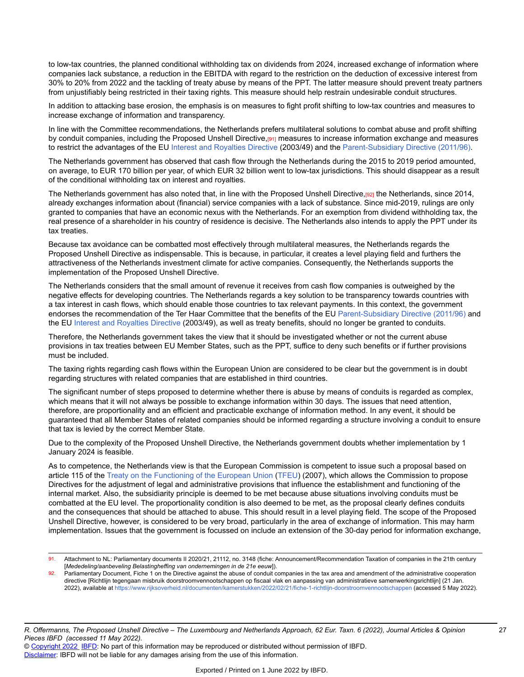to low-tax countries, the planned conditional withholding tax on dividends from 2024, increased exchange of information where companies lack substance, a reduction in the EBITDA with regard to the restriction on the deduction of excessive interest from 30% to 20% from 2022 and the tackling of treaty abuse by means of the PPT. The latter measure should prevent treaty partners from unjustifiably being restricted in their taxing rights. This measure should help restrain undesirable conduit structures.

In addition to attacking base erosion, the emphasis is on measures to fight profit shifting to low-tax countries and measures to increase exchange of information and transparency.

In line with the Committee recommendations, the Netherlands prefers multilateral solutions to combat abuse and profit shifting by conduit companies, including the Proposed Unshell Directive,[91] measures to increase information exchange and measures to restrict the advantages of the EU [Interest and Royalties Directive](https://research.ibfd.org/#/doc?url=/linkresolver/static/tt_e2_82_eng_2003_tt%23tt_e2_82_eng_2003_tt) (2003/49) and the [Parent-Subsidiary](https://research.ibfd.org/#/doc?url=/linkresolver/static/tt_e2_79_eng_2011_tt%23tt_e2_79_eng_2011_tt) Directive (2011/96).

The Netherlands government has observed that cash flow through the Netherlands during the 2015 to 2019 period amounted, on average, to EUR 170 billion per year, of which EUR 32 billion went to low-tax jurisdictions. This should disappear as a result of the conditional withholding tax on interest and royalties.

The Netherlands government has also noted that, in line with the Proposed Unshell Directive, [92] the Netherlands, since 2014, already exchanges information about (financial) service companies with a lack of substance. Since mid-2019, rulings are only granted to companies that have an economic nexus with the Netherlands. For an exemption from dividend withholding tax, the real presence of a shareholder in his country of residence is decisive. The Netherlands also intends to apply the PPT under its tax treaties.

Because tax avoidance can be combatted most effectively through multilateral measures, the Netherlands regards the Proposed Unshell Directive as indispensable. This is because, in particular, it creates a level playing field and furthers the attractiveness of the Netherlands investment climate for active companies. Consequently, the Netherlands supports the implementation of the Proposed Unshell Directive.

The Netherlands considers that the small amount of revenue it receives from cash flow companies is outweighed by the negative effects for developing countries. The Netherlands regards a key solution to be transparency towards countries with a tax interest in cash flows, which should enable those countries to tax relevant payments. In this context, the government endorses the recommendation of the Ter Haar Committee that the benefits of the EU [Parent-Subsidiary](https://research.ibfd.org/#/doc?url=/linkresolver/static/tt_e2_79_eng_2011_tt%23tt_e2_79_eng_2011_tt) Directive (2011/96) and the EU [Interest and Royalties Directive](https://research.ibfd.org/#/doc?url=/linkresolver/static/tt_e2_82_eng_2003_tt%23tt_e2_82_eng_2003_tt) (2003/49), as well as treaty benefits, should no longer be granted to conduits.

Therefore, the Netherlands government takes the view that it should be investigated whether or not the current abuse provisions in tax treaties between EU Member States, such as the PPT, suffice to deny such benefits or if further provisions must be included.

The taxing rights regarding cash flows within the European Union are considered to be clear but the government is in doubt regarding structures with related companies that are established in third countries.

The significant number of steps proposed to determine whether there is abuse by means of conduits is regarded as complex, which means that it will not always be possible to exchange information within 30 days. The issues that need attention, therefore, are proportionality and an efficient and practicable exchange of information method. In any event, it should be guaranteed that all Member States of related companies should be informed regarding a structure involving a conduit to ensure that tax is levied by the correct Member State.

Due to the complexity of the Proposed Unshell Directive, the Netherlands government doubts whether implementation by 1 January 2024 is feasible.

As to competence, the Netherlands view is that the European Commission is competent to issue such a proposal based on article 115 of the Treaty on the [Functioning](https://research.ibfd.org/#/doc?url=/linkresolver/static/tt_e2_00_eng_1992_tt%23tt_e2_00_eng_1992_tt) of the European Union ([TFEU](https://research.ibfd.org/#/doc?url=/linkresolver/static/tt_e2_00_eng_1992_tt%23tt_e2_00_eng_1992_tt)) (2007), which allows the Commission to propose Directives for the adjustment of legal and administrative provisions that influence the establishment and functioning of the internal market. Also, the subsidiarity principle is deemed to be met because abuse situations involving conduits must be combatted at the EU level. The proportionality condition is also deemed to be met, as the proposal clearly defines conduits and the consequences that should be attached to abuse. This should result in a level playing field. The scope of the Proposed Unshell Directive, however, is considered to be very broad, particularly in the area of exchange of information. This may harm implementation. Issues that the government is focussed on include an extension of the 30-day period for information exchange,

<sup>91.</sup> Attachment to NL: Parliamentary documents II 2020/21, 21112, no. 3148 (fiche: Announcement/Recommendation Taxation of companies in the 21th century [*Mededeling/aanbeveling Belastingheffing van ondernemingen in de 21e eeuw*]).

<sup>92.</sup> Parliamentary Document, Fiche 1 on the Directive against the abuse of conduit companies in the tax area and amendment of the administrative cooperation directive [Richtlijn tegengaan misbruik doorstroomvennootschappen op fiscaal vlak en aanpassing van administratieve samenwerkingsrichtlijn] (21 Jan. 2022), available at<https://www.rijksoverheid.nl/documenten/kamerstukken/2022/02/21/fiche-1-richtlijn-doorstroomvennootschappen>(accessed 5 May 2022).

<sup>©</sup> [Copyright 2022](http://www.ibfd.org/Copyright-IBFD) [IBFD](http://www.ibfd.org): No part of this information may be reproduced or distributed without permission of IBFD. [Disclaimer:](http://www.ibfd.org/Disclaimer) IBFD will not be liable for any damages arising from the use of this information.